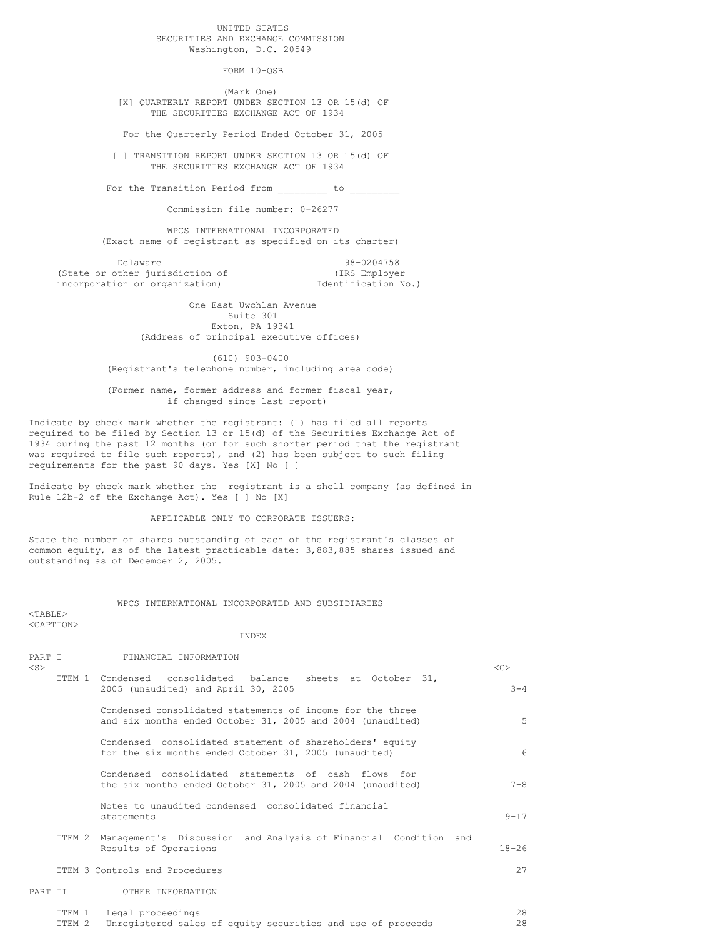### UNITED STATES SECURITIES AND EXCHANGE COMMISSION Washington, D.C. 20549

FORM 10-QSB

(Mark One) [X] QUARTERLY REPORT UNDER SECTION 13 OR 15(d) OF THE SECURITIES EXCHANGE ACT OF 1934

For the Quarterly Period Ended October 31, 2005

[ ] TRANSITION REPORT UNDER SECTION 13 OR 15(d) OF THE SECURITIES EXCHANGE ACT OF 1934

For the Transition Period from \_\_\_\_\_\_\_\_\_\_ to \_\_

Commission file number: 0-26277

WPCS INTERNATIONAL INCORPORATED (Exact name of registrant as specified on its charter)

Delaware 98-0204758<br>
bther jurisdiction of (IRS Employer (State or other jurisdiction of incorporation or organization) Identification No.)

> One East Uwchlan Avenue Suite 301 Exton, PA 19341 (Address of principal executive offices)

(610) 903-0400 (Registrant's telephone number, including area code)

(Former name, former address and former fiscal year, if changed since last report)

Indicate by check mark whether the registrant: (1) has filed all reports required to be filed by Section 13 or 15(d) of the Securities Exchange Act of 1934 during the past 12 months (or for such shorter period that the registrant was required to file such reports), and (2) has been subject to such filing requirements for the past 90 days. Yes [X] No [ ]

Indicate by check mark whether the registrant is a shell company (as defined in Rule 12b-2 of the Exchange Act). Yes [ ] No [X]

APPLICABLE ONLY TO CORPORATE ISSUERS:

State the number of shares outstanding of each of the registrant's classes of common equity, as of the latest practicable date: 3,883,885 shares issued and outstanding as of December 2, 2005.

WPCS INTERNATIONAL INCORPORATED AND SUBSIDIARIES

#### $<$ TABLE $>$ <CAPTION>

PART I FINANCIAL INFORMATION

INDEX

| $<$ S $>$ |                  |                                                                                                                         | <<             |
|-----------|------------------|-------------------------------------------------------------------------------------------------------------------------|----------------|
|           |                  | ITEM 1 Condensed consolidated balance sheets at October 31,<br>2005 (unaudited) and April 30, 2005                      | $3 - 4$        |
|           |                  | Condensed consolidated statements of income for the three<br>and six months ended October 31, 2005 and 2004 (unaudited) | $\overline{5}$ |
|           |                  | Condensed consolidated statement of shareholders' equity<br>for the six months ended October 31, 2005 (unaudited)       | 6              |
|           |                  | Condensed consolidated statements of cash flows for<br>the six months ended October 31, 2005 and 2004 (unaudited)       | $7 - 8$        |
|           |                  | Notes to unaudited condensed consolidated financial<br>statements                                                       | $9 - 17$       |
|           |                  | ITEM 2 Management's Discussion and Analysis of Financial Condition and<br>Results of Operations                         | $18 - 26$      |
|           |                  | TTEM 3 Controls and Procedures                                                                                          | 27             |
| PART II   |                  | OTHER INFORMATION                                                                                                       |                |
|           | TTEM 1<br>ITEM 2 | Legal proceedings<br>Unregistered sales of equity securities and use of proceeds                                        | 2.8<br>28      |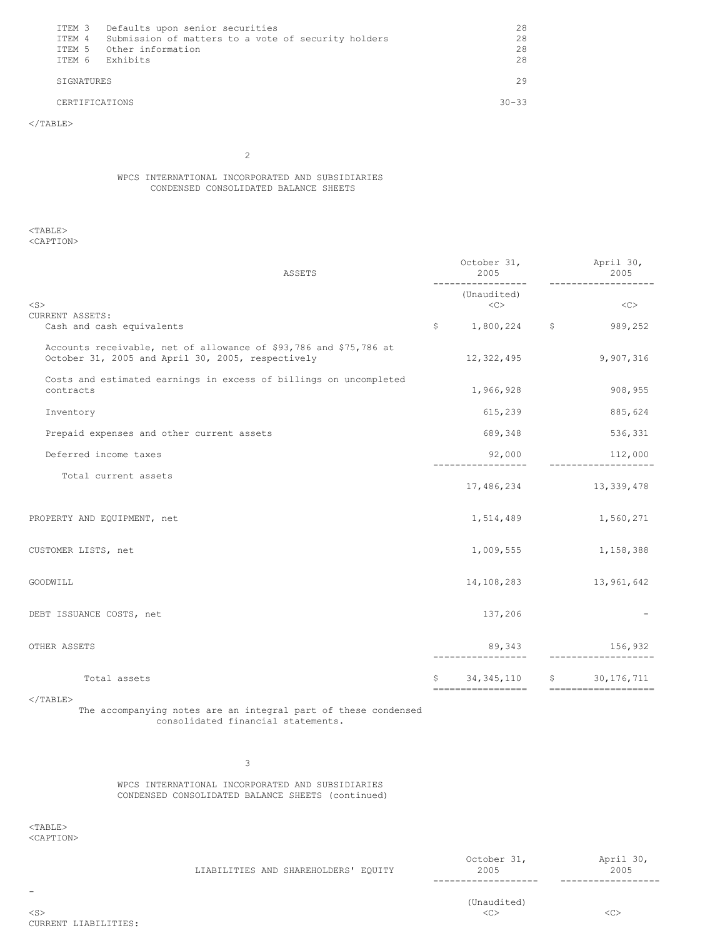| ITEM 3<br>ITEM 4<br>TTEM 5<br>TTEM 6 | Defaults upon senior securities<br>Submission of matters to a vote of security holders<br>Other information<br>Exhibits | 28<br>28<br>28<br>28 |
|--------------------------------------|-------------------------------------------------------------------------------------------------------------------------|----------------------|
| SIGNATURES                           |                                                                                                                         | 29                   |
| CERTIFICATIONS                       |                                                                                                                         | $30 - 33$            |

# $<$ /TABLE>

2

## WPCS INTERNATIONAL INCORPORATED AND SUBSIDIARIES CONDENSED CONSOLIDATED BALANCE SHEETS

<TABLE> <CAPTION>

| ASSETS                                                                                                                 |    | October 31,<br>2005               |                               | April 30,<br>2005                    |
|------------------------------------------------------------------------------------------------------------------------|----|-----------------------------------|-------------------------------|--------------------------------------|
| $<$ S $>$<br><b>CURRENT ASSETS:</b>                                                                                    |    | (Unaudited)<br><<                 |                               | <<                                   |
| Cash and cash equivalents                                                                                              | \$ | 1,800,224                         | $\mathsf{S}$                  | 989,252                              |
| Accounts receivable, net of allowance of \$93,786 and \$75,786 at<br>October 31, 2005 and April 30, 2005, respectively |    | 12,322,495                        |                               | 9,907,316                            |
| Costs and estimated earnings in excess of billings on uncompleted<br>contracts                                         |    | 1,966,928                         |                               | 908,955                              |
| Inventory                                                                                                              |    | 615,239                           |                               | 885,624                              |
| Prepaid expenses and other current assets                                                                              |    | 689,348                           |                               | 536,331                              |
| Deferred income taxes                                                                                                  |    | 92,000                            |                               | 112,000<br>------------              |
| Total current assets                                                                                                   |    | 17,486,234                        |                               | 13,339,478                           |
| PROPERTY AND EQUIPMENT, net                                                                                            |    | 1,514,489                         |                               | 1,560,271                            |
| CUSTOMER LISTS, net                                                                                                    |    | 1,009,555                         |                               | 1,158,388                            |
| GOODWILL                                                                                                               |    | 14,108,283                        |                               | 13,961,642                           |
| DEBT ISSUANCE COSTS, net                                                                                               |    | 137,206                           |                               |                                      |
| OTHER ASSETS                                                                                                           |    | 89,343                            |                               | 156,932                              |
| Total assets                                                                                                           | Ş. | 34, 345, 110<br>================= | $\mathsf{S}$ and $\mathsf{S}$ | 30, 176, 711<br>==================== |

 $<$ /TABLE>

The accompanying notes are an integral part of these condensed consolidated financial statements.

3

WPCS INTERNATIONAL INCORPORATED AND SUBSIDIARIES CONDENSED CONSOLIDATED BALANCE SHEETS (continued)

<TABLE> <CAPTION>

-

| LIABILITIES AND SHAREHOLDERS' EQUITY | October 31,<br>2005 | April<br>2005 |
|--------------------------------------|---------------------|---------------|
|                                      |                     |               |

(Unaudited)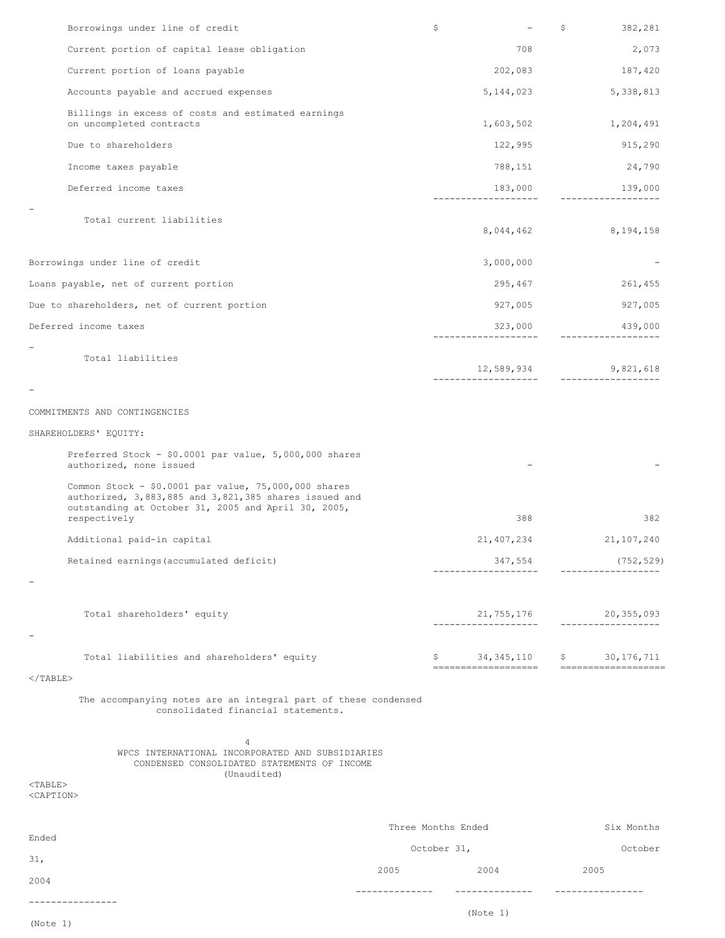|                                   | Borrowings under line of credit                                                                                                                                      |                    | \$          | $\sim$               | \$                  | 382,281                     |
|-----------------------------------|----------------------------------------------------------------------------------------------------------------------------------------------------------------------|--------------------|-------------|----------------------|---------------------|-----------------------------|
|                                   | Current portion of capital lease obligation                                                                                                                          |                    |             | 708                  |                     | 2,073                       |
|                                   | Current portion of loans payable                                                                                                                                     |                    |             | 202,083              |                     | 187,420                     |
|                                   | Accounts payable and accrued expenses                                                                                                                                |                    |             | 5,144,023            |                     | 5,338,813                   |
|                                   | Billings in excess of costs and estimated earnings<br>on uncompleted contracts                                                                                       |                    |             | 1,603,502            |                     | 1,204,491                   |
|                                   | Due to shareholders                                                                                                                                                  |                    |             | 122,995              |                     | 915,290                     |
|                                   | Income taxes payable                                                                                                                                                 |                    |             | 788,151              |                     | 24,790                      |
|                                   | Deferred income taxes                                                                                                                                                |                    |             | 183,000              |                     | 139,000                     |
|                                   |                                                                                                                                                                      |                    |             | ____________________ |                     | ---------------             |
|                                   | Total current liabilities                                                                                                                                            |                    |             | 8,044,462            |                     | 8,194,158                   |
|                                   | Borrowings under line of credit                                                                                                                                      |                    |             | 3,000,000            |                     |                             |
|                                   | Loans payable, net of current portion                                                                                                                                |                    |             | 295,467              |                     | 261,455                     |
|                                   | Due to shareholders, net of current portion                                                                                                                          |                    |             | 927,005              |                     | 927,005                     |
|                                   | Deferred income taxes                                                                                                                                                |                    |             | 323,000              |                     | 439,000                     |
|                                   |                                                                                                                                                                      |                    |             | -------------------- |                     | -------------               |
|                                   | Total liabilities                                                                                                                                                    |                    |             | 12,589,934           |                     | 9,821,618                   |
|                                   |                                                                                                                                                                      |                    |             |                      |                     | ---------------             |
|                                   | COMMITMENTS AND CONTINGENCIES                                                                                                                                        |                    |             |                      |                     |                             |
|                                   | SHAREHOLDERS' EQUITY:                                                                                                                                                |                    |             |                      |                     |                             |
|                                   | Preferred Stock - \$0.0001 par value, $5,000,000$ shares<br>authorized, none issued                                                                                  |                    |             |                      |                     |                             |
|                                   | Common Stock - \$0.0001 par value, 75,000,000 shares<br>authorized, 3,883,885 and 3,821,385 shares issued and<br>outstanding at October 31, 2005 and April 30, 2005, |                    |             |                      |                     |                             |
|                                   | respectively                                                                                                                                                         |                    |             | 388                  |                     | 382                         |
|                                   | Additional paid-in capital                                                                                                                                           |                    |             | 21,407,234           |                     | 21,107,240                  |
|                                   | Retained earnings (accumulated deficit)                                                                                                                              |                    |             | 347,554              |                     | (752, 529)                  |
|                                   |                                                                                                                                                                      |                    |             |                      |                     |                             |
|                                   | Total shareholders' equity                                                                                                                                           |                    |             | 21,755,176           |                     | 20, 355, 093                |
|                                   |                                                                                                                                                                      |                    |             |                      | $- - - - - - - - -$ |                             |
|                                   | Total liabilities and shareholders' equity                                                                                                                           |                    |             |                      |                     | $$34,345,110$ $$30,176,711$ |
| $<$ /TABLE>                       |                                                                                                                                                                      |                    |             | ==================== |                     | --------------------        |
|                                   | The accompanying notes are an integral part of these condensed<br>consolidated financial statements.                                                                 |                    |             |                      |                     |                             |
|                                   | 4<br>WPCS INTERNATIONAL INCORPORATED AND SUBSIDIARIES<br>CONDENSED CONSOLIDATED STATEMENTS OF INCOME<br>(Unaudited)                                                  |                    |             |                      |                     |                             |
| $<$ TABLE><br><caption></caption> |                                                                                                                                                                      |                    |             |                      |                     |                             |
|                                   |                                                                                                                                                                      | Three Months Ended |             |                      |                     | Six Months                  |
| Ended                             |                                                                                                                                                                      |                    | October 31, |                      |                     | October                     |
| 31,                               |                                                                                                                                                                      | 2005               |             | 2004                 |                     | 2005                        |
| 2004                              |                                                                                                                                                                      |                    |             |                      |                     |                             |
|                                   |                                                                                                                                                                      |                    |             |                      |                     |                             |

(Note 1)

(Note 1)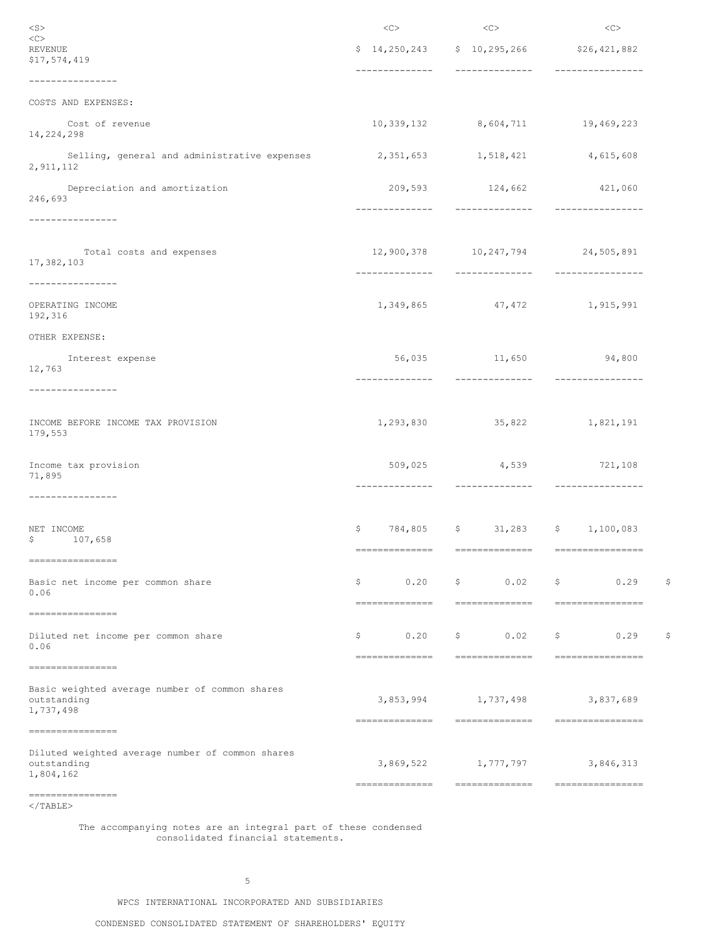| $<$ S>                                                                                                                                                                                                                                                                                                                                                                                                                                                                                    | $<\!\!\rm C\!\!>$       | $<<$ C $>$                                                  | $<<$ C $>$                                                                                                                                                                                                                                                                                                                                                                                                                                                                             |                    |
|-------------------------------------------------------------------------------------------------------------------------------------------------------------------------------------------------------------------------------------------------------------------------------------------------------------------------------------------------------------------------------------------------------------------------------------------------------------------------------------------|-------------------------|-------------------------------------------------------------|----------------------------------------------------------------------------------------------------------------------------------------------------------------------------------------------------------------------------------------------------------------------------------------------------------------------------------------------------------------------------------------------------------------------------------------------------------------------------------------|--------------------|
| <<<br><b>REVENUE</b><br>\$17,574,419                                                                                                                                                                                                                                                                                                                                                                                                                                                      | --------------          | $$14,250,243$ $$10,295,266$ $$26,421,882$<br>-------------- | ----------------                                                                                                                                                                                                                                                                                                                                                                                                                                                                       |                    |
| ---------------                                                                                                                                                                                                                                                                                                                                                                                                                                                                           |                         |                                                             |                                                                                                                                                                                                                                                                                                                                                                                                                                                                                        |                    |
| COSTS AND EXPENSES:                                                                                                                                                                                                                                                                                                                                                                                                                                                                       |                         |                                                             |                                                                                                                                                                                                                                                                                                                                                                                                                                                                                        |                    |
| Cost of revenue<br>14,224,298                                                                                                                                                                                                                                                                                                                                                                                                                                                             |                         | 10,339,132 8,604,711                                        | 19,469,223                                                                                                                                                                                                                                                                                                                                                                                                                                                                             |                    |
| Selling, general and administrative expenses<br>2, 911, 112                                                                                                                                                                                                                                                                                                                                                                                                                               | 2,351,653               | 1,518,421                                                   | 4,615,608                                                                                                                                                                                                                                                                                                                                                                                                                                                                              |                    |
| Depreciation and amortization<br>246,693                                                                                                                                                                                                                                                                                                                                                                                                                                                  | 209,593<br>------------ | 124,662<br>--------------                                   | 421,060                                                                                                                                                                                                                                                                                                                                                                                                                                                                                |                    |
| ----------------                                                                                                                                                                                                                                                                                                                                                                                                                                                                          |                         |                                                             |                                                                                                                                                                                                                                                                                                                                                                                                                                                                                        |                    |
| Total costs and expenses<br>17,382,103                                                                                                                                                                                                                                                                                                                                                                                                                                                    | . <u>.</u> .            | 12,900,378 10,247,794 24,505,891<br>--------------          | ----------------                                                                                                                                                                                                                                                                                                                                                                                                                                                                       |                    |
| ----------------<br>OPERATING INCOME<br>192,316                                                                                                                                                                                                                                                                                                                                                                                                                                           | 1,349,865               | 47,472 1,915,991                                            |                                                                                                                                                                                                                                                                                                                                                                                                                                                                                        |                    |
| OTHER EXPENSE:                                                                                                                                                                                                                                                                                                                                                                                                                                                                            |                         |                                                             |                                                                                                                                                                                                                                                                                                                                                                                                                                                                                        |                    |
| Interest expense<br>12,763                                                                                                                                                                                                                                                                                                                                                                                                                                                                | 56,035<br>------------  | 11,650<br>--------------                                    | 94,800                                                                                                                                                                                                                                                                                                                                                                                                                                                                                 |                    |
| ----------------                                                                                                                                                                                                                                                                                                                                                                                                                                                                          |                         |                                                             |                                                                                                                                                                                                                                                                                                                                                                                                                                                                                        |                    |
| INCOME BEFORE INCOME TAX PROVISION<br>179,553                                                                                                                                                                                                                                                                                                                                                                                                                                             | 1,293,830               | 35,822                                                      | 1,821,191                                                                                                                                                                                                                                                                                                                                                                                                                                                                              |                    |
| Income tax provision<br>71,895                                                                                                                                                                                                                                                                                                                                                                                                                                                            | -------------           | 509,025 4,539<br>--------------                             | 721,108                                                                                                                                                                                                                                                                                                                                                                                                                                                                                |                    |
| ---------------                                                                                                                                                                                                                                                                                                                                                                                                                                                                           |                         |                                                             |                                                                                                                                                                                                                                                                                                                                                                                                                                                                                        |                    |
| NET INCOME<br>\$107,658                                                                                                                                                                                                                                                                                                                                                                                                                                                                   | \$                      | 784,805 \$ 31,283 \$ 1,100,083                              |                                                                                                                                                                                                                                                                                                                                                                                                                                                                                        |                    |
| -----------------<br>Basic net income per common share                                                                                                                                                                                                                                                                                                                                                                                                                                    | \$<br>0.20              | \$<br>0.02                                                  | \$<br>0.29                                                                                                                                                                                                                                                                                                                                                                                                                                                                             | $\ddot{\varsigma}$ |
| 0.06<br>=================                                                                                                                                                                                                                                                                                                                                                                                                                                                                 | ==============          | ==============                                              | $\begin{array}{cccccccccc} \multicolumn{2}{c}{} & \multicolumn{2}{c}{} & \multicolumn{2}{c}{} & \multicolumn{2}{c}{} & \multicolumn{2}{c}{} & \multicolumn{2}{c}{} & \multicolumn{2}{c}{} & \multicolumn{2}{c}{} & \multicolumn{2}{c}{} & \multicolumn{2}{c}{} & \multicolumn{2}{c}{} & \multicolumn{2}{c}{} & \multicolumn{2}{c}{} & \multicolumn{2}{c}{} & \multicolumn{2}{c}{} & \multicolumn{2}{c}{} & \multicolumn{2}{c}{} & \multicolumn{2}{c}{} & \multicolumn{2}{c}{} & \mult$ |                    |
| Diluted net income per common share<br>0.06                                                                                                                                                                                                                                                                                                                                                                                                                                               | 0.20<br>\$              | $\ddot{\varsigma}$<br>0.02                                  | \$<br>0.29                                                                                                                                                                                                                                                                                                                                                                                                                                                                             | $\ddot{\varphi}$   |
| ================                                                                                                                                                                                                                                                                                                                                                                                                                                                                          | <b>EEEEEEEEEEEE</b>     | <b>EEEEEEEEEEEE</b>                                         | =================                                                                                                                                                                                                                                                                                                                                                                                                                                                                      |                    |
| Basic weighted average number of common shares<br>outstanding<br>1,737,498                                                                                                                                                                                                                                                                                                                                                                                                                | 3,853,994               | 1,737,498                                                   | 3,837,689                                                                                                                                                                                                                                                                                                                                                                                                                                                                              |                    |
| $\begin{minipage}{0.99\linewidth} \begin{tabular}{l} \multicolumn{2}{l}{} & \multicolumn{2}{l}{} & \multicolumn{2}{l}{} \\ \multicolumn{2}{l}{} & \multicolumn{2}{l}{} & \multicolumn{2}{l}{} \\ \multicolumn{2}{l}{} & \multicolumn{2}{l}{} & \multicolumn{2}{l}{} \\ \multicolumn{2}{l}{} & \multicolumn{2}{l}{} & \multicolumn{2}{l}{} \\ \multicolumn{2}{l}{} & \multicolumn{2}{l}{} & \multicolumn{2}{l}{} \\ \multicolumn{2}{l}{} & \multicolumn{2}{l}{} & \multicolumn{2}{l}{} \\$ | ===============         | ==============                                              | =================                                                                                                                                                                                                                                                                                                                                                                                                                                                                      |                    |
| Diluted weighted average number of common shares<br>outstanding<br>1,804,162                                                                                                                                                                                                                                                                                                                                                                                                              |                         | 3,869,522 1,777,797                                         | 3,846,313                                                                                                                                                                                                                                                                                                                                                                                                                                                                              |                    |
| <b>EEEEEEEEEEEEEE</b>                                                                                                                                                                                                                                                                                                                                                                                                                                                                     | ==============          |                                                             | ================                                                                                                                                                                                                                                                                                                                                                                                                                                                                       |                    |

 $<$ /TABLE $>$ 

The accompanying notes are an integral part of these condensed consolidated financial statements.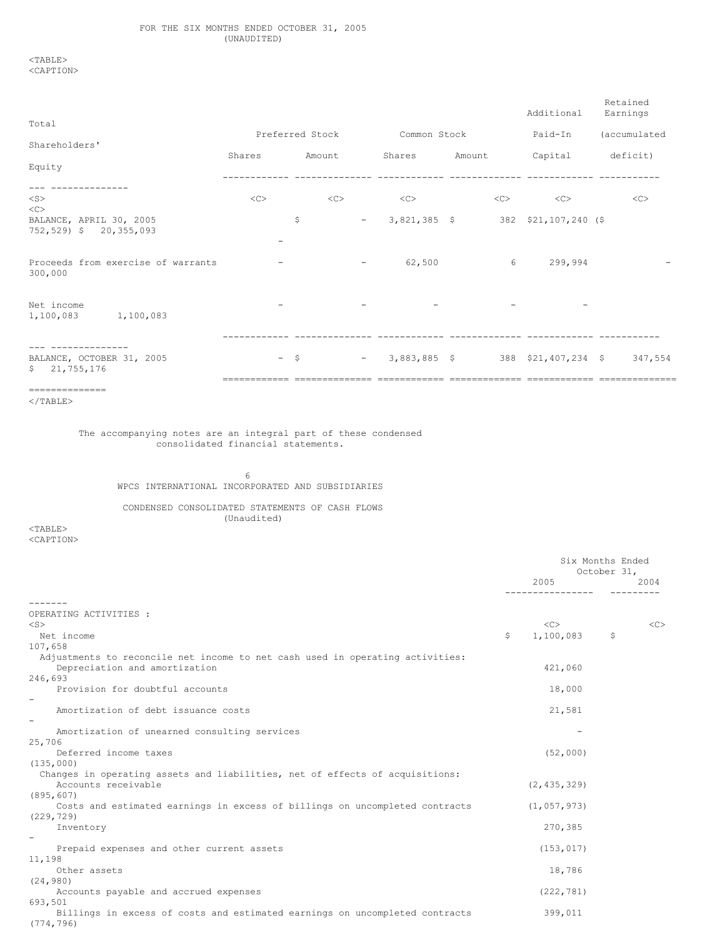<TABLE> <CAPTION>

|                                                                                                                                                          |                      |    |                  |                                    |    | Additional                                          | Retained<br>Earnings            |                    |
|----------------------------------------------------------------------------------------------------------------------------------------------------------|----------------------|----|------------------|------------------------------------|----|-----------------------------------------------------|---------------------------------|--------------------|
| Total                                                                                                                                                    |                      |    |                  | Preferred Stock Common Stock       |    | Paid-In (accumulated                                |                                 |                    |
| Shareholders'                                                                                                                                            |                      |    |                  | Shares Amount Shares Amount        |    | Capital deficit)                                    |                                 |                    |
| Equity                                                                                                                                                   |                      |    |                  |                                    |    |                                                     |                                 |                    |
| ___  _______________                                                                                                                                     |                      |    |                  |                                    |    |                                                     |                                 |                    |
| $<$ S $>$<br><<                                                                                                                                          | $<<$ $>$             |    |                  |                                    |    |                                                     |                                 |                    |
| BALANCE, APRIL 30, 2005<br>752,529) \$ 20,355,093                                                                                                        |                      | \$ | $\sim$ 100 $\mu$ |                                    |    | 3,821,385 \$ 382 \$21,107,240 (\$                   |                                 |                    |
| Proceeds from exercise of warrants<br>300,000                                                                                                            | and the state of the |    |                  |                                    |    | $-$ 62,500 6 299,994                                |                                 |                    |
| Net income<br>1,100,083 1,100,083                                                                                                                        |                      |    |                  | with the company of the company of |    |                                                     |                                 |                    |
| --- --------------<br>BALANCE, OCTOBER 31, 2005<br>\$21, 755, 176                                                                                        |                      |    |                  |                                    |    | $-$ \$ $-$ 3,883,885 \$ 388 \$21,407,234 \$ 347,554 |                                 |                    |
| ---------------<br>$\langle$ /TABLE>                                                                                                                     |                      |    |                  |                                    |    |                                                     |                                 |                    |
| The accompanying notes are an integral part of these condensed<br>consolidated financial statements.<br>WPCS INTERNATIONAL INCORPORATED AND SUBSIDIARIES | 6                    |    |                  |                                    |    |                                                     |                                 |                    |
| CONDENSED CONSOLIDATED STATEMENTS OF CASH FLOWS                                                                                                          | (Unaudited)          |    |                  |                                    |    |                                                     |                                 |                    |
| $TABLE>$<br><caption></caption>                                                                                                                          |                      |    |                  |                                    |    |                                                     |                                 |                    |
|                                                                                                                                                          |                      |    |                  |                                    |    | 2005<br>----------------                            | Six Months Ended<br>October 31, | 2004<br>---------- |
| -------                                                                                                                                                  |                      |    |                  |                                    |    |                                                     |                                 |                    |
| OPERATING ACTIVITIES :<br>$<$ S $>$                                                                                                                      |                      |    |                  |                                    |    | <<                                                  |                                 | $<$ C>             |
| Net income<br>107,658                                                                                                                                    |                      |    |                  |                                    | \$ | 1,100,083                                           | \$                              |                    |
| Adjustments to reconcile net income to net cash used in operating activities:<br>Depreciation and amortization<br>246,693                                |                      |    |                  |                                    |    | 421,060                                             |                                 |                    |
| Provision for doubtful accounts                                                                                                                          |                      |    |                  |                                    |    | 18,000                                              |                                 |                    |
| Amortization of debt issuance costs                                                                                                                      |                      |    |                  |                                    |    | 21,581                                              |                                 |                    |
| Amortization of unearned consulting services                                                                                                             |                      |    |                  |                                    |    |                                                     |                                 |                    |
| 25,706<br>Deferred income taxes<br>(135,000)                                                                                                             |                      |    |                  |                                    |    | (52,000)                                            |                                 |                    |
| Changes in operating assets and liabilities, net of effects of acquisitions:<br>Accounts receivable                                                      |                      |    |                  |                                    |    | (2, 435, 329)                                       |                                 |                    |

-

(895,607) Costs and estimated earnings in excess of billings on uncompleted contracts (1,057,973) (229,729) Inventory 270,385 Prepaid expenses and other current assets (153,017) 11,198 Other assets 18,786 (24,980) Accounts payable and accrued expenses (222,781) 693,501 Billings in excess of costs and estimated earnings on uncompleted contracts 399,011 (774,796)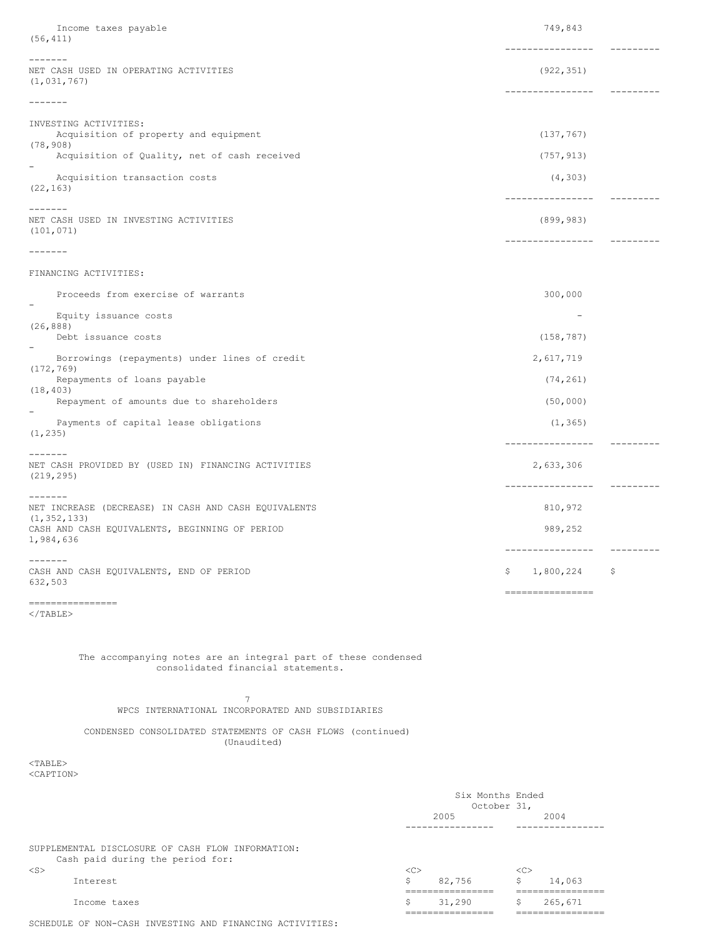Income taxes payable 749,843 (56,411) ---------------- --------- ------- NET CASH USED IN OPERATING ACTIVITIES (922,351) (1,031,767) ---------------- --------- ------- INVESTING ACTIVITIES: Acquisition of property and equipment (137,767) (78,908) Acquisition of Quality, net of cash received (757,913) - Acquisition transaction costs (4,303) (22,163) ---------------- --------- ------- NET CASH USED IN INVESTING ACTIVITIES (899,983) (101,071) ---------------- --------- ------- FINANCING ACTIVITIES: Proceeds from exercise of warrants 300,000 - Equity issuance costs - (26,888) Debt issuance costs (158,787) - Borrowings (repayments) under lines of credit 2,617,719 (172,769) Repayments of loans payable (74,261) (18,403) Repayment of amounts due to shareholders (50,000) - Payments of capital lease obligations (1,365) (1,235) ---------------- --------- ------- NET CASH PROVIDED BY (USED IN) FINANCING ACTIVITIES 2,633,306 (219,295) ---------------- --------- ------- NET INCREASE (DECREASE) IN CASH AND CASH EQUIVALENTS 810,972 (1,352,133) CASH AND CASH EQUIVALENTS, BEGINNING OF PERIOD 989,252 1,984,636 ---------------- --------- ------- CASH AND CASH EQUIVALENTS, END OF PERIOD SUMMATCHERS AND STRAIN AND STRAIN AND STRAINING STRAINING STRAINING STRAINING STRAINING STRAINING STRAINING STRAINING STRAINING STRAINING STRAINING STRAINING STRAINING STRAINING STR 632,503 ================ ================ </TABLE> The accompanying notes are an integral part of these condensed consolidated financial statements. 7 WPCS INTERNATIONAL INCORPORATED AND SUBSIDIARIES CONDENSED CONSOLIDATED STATEMENTS OF CASH FLOWS (continued) (Unaudited) <TABLE> <CAPTION> Six Months Ended October 31, 2005 2004 ---------------- ---------------- SUPPLEMENTAL DISCLOSURE OF CASH FLOW INFORMATION: Cash paid during the period for: <S> <C> <C>

| Interest     | ັ  | 82,756    | - 500 - 600 - 600 - 600 - 600 - 600 - 600 - 600 - 600 - 600 - 600 - 600 - 600 - 600 - 600 - 600 - 600 - 600 - 600 - 600 - 600 - 600 - 600 - 600 - 600 - 600 - 600 - 600 - 600 - 600 - 600 - 600 - 600 - 600 - 600 - 600 - 600 - | 14,063  |
|--------------|----|-----------|---------------------------------------------------------------------------------------------------------------------------------------------------------------------------------------------------------------------------------|---------|
|              |    | _________ |                                                                                                                                                                                                                                 |         |
| Income taxes | S. | 31,290    | S.                                                                                                                                                                                                                              | 265,671 |
|              |    |           |                                                                                                                                                                                                                                 |         |

SCHEDULE OF NON-CASH INVESTING AND FINANCING ACTIVITIES: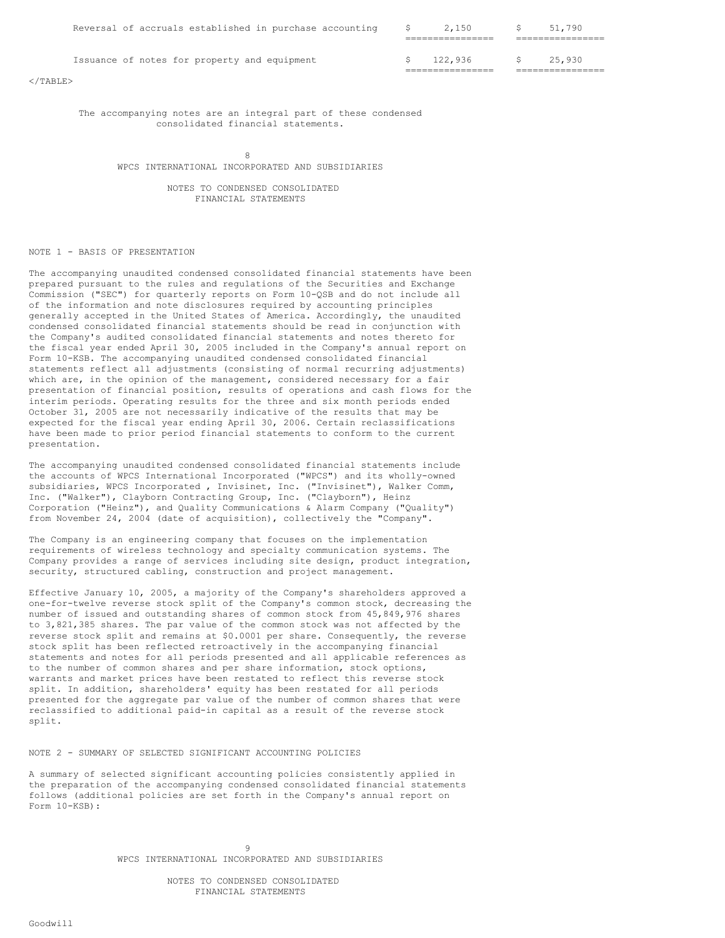| Reversal of accruals established in purchase accounting | 2,150   | 51.790 |
|---------------------------------------------------------|---------|--------|
|                                                         |         |        |
| Issuance of notes for property and equipment            | 122.936 | 25.930 |

</TABLE>

The accompanying notes are an integral part of these condensed consolidated financial statements.

> 8 WPCS INTERNATIONAL INCORPORATED AND SUBSIDIARIES

> > NOTES TO CONDENSED CONSOLIDATED FINANCIAL STATEMENTS

## NOTE 1 - BASIS OF PRESENTATION

The accompanying unaudited condensed consolidated financial statements have been prepared pursuant to the rules and regulations of the Securities and Exchange Commission ("SEC") for quarterly reports on Form 10-QSB and do not include all of the information and note disclosures required by accounting principles generally accepted in the United States of America. Accordingly, the unaudited condensed consolidated financial statements should be read in conjunction with the Company's audited consolidated financial statements and notes thereto for the fiscal year ended April 30, 2005 included in the Company's annual report on Form 10-KSB. The accompanying unaudited condensed consolidated financial statements reflect all adjustments (consisting of normal recurring adjustments) which are, in the opinion of the management, considered necessary for a fair presentation of financial position, results of operations and cash flows for the interim periods. Operating results for the three and six month periods ended October 31, 2005 are not necessarily indicative of the results that may be expected for the fiscal year ending April 30, 2006. Certain reclassifications have been made to prior period financial statements to conform to the current presentation.

The accompanying unaudited condensed consolidated financial statements include the accounts of WPCS International Incorporated ("WPCS") and its wholly-owned subsidiaries, WPCS Incorporated , Invisinet, Inc. ("Invisinet"), Walker Comm, Inc. ("Walker"), Clayborn Contracting Group, Inc. ("Clayborn"), Heinz Corporation ("Heinz"), and Quality Communications & Alarm Company ("Quality") from November 24, 2004 (date of acquisition), collectively the "Company".

The Company is an engineering company that focuses on the implementation requirements of wireless technology and specialty communication systems. The Company provides a range of services including site design, product integration, security, structured cabling, construction and project management.

Effective January 10, 2005, a majority of the Company's shareholders approved a one-for-twelve reverse stock split of the Company's common stock, decreasing the number of issued and outstanding shares of common stock from 45,849,976 shares to 3,821,385 shares. The par value of the common stock was not affected by the reverse stock split and remains at \$0.0001 per share. Consequently, the reverse stock split has been reflected retroactively in the accompanying financial statements and notes for all periods presented and all applicable references as to the number of common shares and per share information, stock options, warrants and market prices have been restated to reflect this reverse stock split. In addition, shareholders' equity has been restated for all periods presented for the aggregate par value of the number of common shares that were reclassified to additional paid-in capital as a result of the reverse stock split.

### NOTE 2 - SUMMARY OF SELECTED SIGNIFICANT ACCOUNTING POLICIES

A summary of selected significant accounting policies consistently applied in the preparation of the accompanying condensed consolidated financial statements follows (additional policies are set forth in the Company's annual report on Form 10-KSB):

NOTES TO CONDENSED CONSOLIDATED FINANCIAL STATEMENTS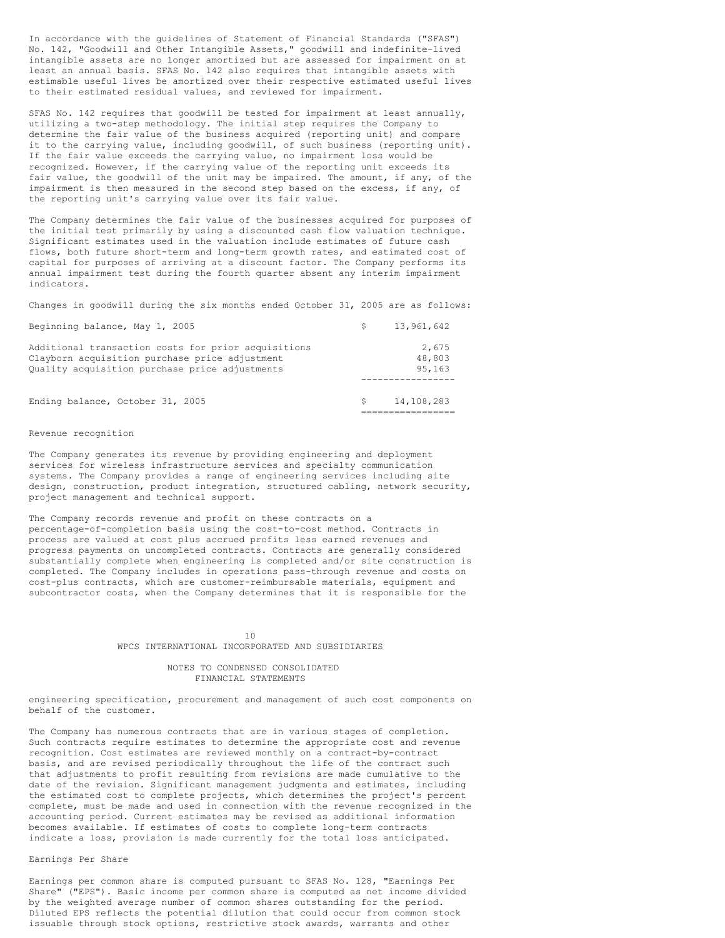In accordance with the guidelines of Statement of Financial Standards ("SFAS") No. 142, "Goodwill and Other Intangible Assets," goodwill and indefinite-lived intangible assets are no longer amortized but are assessed for impairment on at least an annual basis. SFAS No. 142 also requires that intangible assets with estimable useful lives be amortized over their respective estimated useful lives to their estimated residual values, and reviewed for impairment.

SFAS No. 142 requires that goodwill be tested for impairment at least annually, utilizing a two-step methodology. The initial step requires the Company to determine the fair value of the business acquired (reporting unit) and compare it to the carrying value, including goodwill, of such business (reporting unit). If the fair value exceeds the carrying value, no impairment loss would be recognized. However, if the carrying value of the reporting unit exceeds its fair value, the goodwill of the unit may be impaired. The amount, if any, of the impairment is then measured in the second step based on the excess, if any, of the reporting unit's carrying value over its fair value.

The Company determines the fair value of the businesses acquired for purposes of the initial test primarily by using a discounted cash flow valuation technique. Significant estimates used in the valuation include estimates of future cash flows, both future short-term and long-term growth rates, and estimated cost of capital for purposes of arriving at a discount factor. The Company performs its annual impairment test during the fourth quarter absent any interim impairment indicators.

Changes in goodwill during the six months ended October 31, 2005 are as follows:

| Ending balance, October 31, 2005                                                                                                                        | S. | 14,108,283                |
|---------------------------------------------------------------------------------------------------------------------------------------------------------|----|---------------------------|
| Additional transaction costs for prior acquisitions<br>Clayborn acquisition purchase price adjustment<br>Quality acquisition purchase price adjustments |    | 2,675<br>48,803<br>95,163 |
| Beginning balance, May 1, 2005                                                                                                                          | S  | 13,961,642                |

#### Revenue recognition

The Company generates its revenue by providing engineering and deployment services for wireless infrastructure services and specialty communication systems. The Company provides a range of engineering services including site design, construction, product integration, structured cabling, network security, project management and technical support.

The Company records revenue and profit on these contracts on a percentage-of-completion basis using the cost-to-cost method. Contracts in process are valued at cost plus accrued profits less earned revenues and progress payments on uncompleted contracts. Contracts are generally considered substantially complete when engineering is completed and/or site construction is completed. The Company includes in operations pass-through revenue and costs on cost-plus contracts, which are customer-reimbursable materials, equipment and subcontractor costs, when the Company determines that it is responsible for the

> 10 WPCS INTERNATIONAL INCORPORATED AND SUBSIDIARIES

> > NOTES TO CONDENSED CONSOLIDATED FINANCIAL STATEMENTS

engineering specification, procurement and management of such cost components on behalf of the customer.

The Company has numerous contracts that are in various stages of completion. Such contracts require estimates to determine the appropriate cost and revenue recognition. Cost estimates are reviewed monthly on a contract-by-contract basis, and are revised periodically throughout the life of the contract such that adjustments to profit resulting from revisions are made cumulative to the date of the revision. Significant management judgments and estimates, including the estimated cost to complete projects, which determines the project's percent complete, must be made and used in connection with the revenue recognized in the accounting period. Current estimates may be revised as additional information becomes available. If estimates of costs to complete long-term contracts indicate a loss, provision is made currently for the total loss anticipated.

## Earnings Per Share

Earnings per common share is computed pursuant to SFAS No. 128, "Earnings Per Share" ("EPS"). Basic income per common share is computed as net income divided by the weighted average number of common shares outstanding for the period. Diluted EPS reflects the potential dilution that could occur from common stock issuable through stock options, restrictive stock awards, warrants and other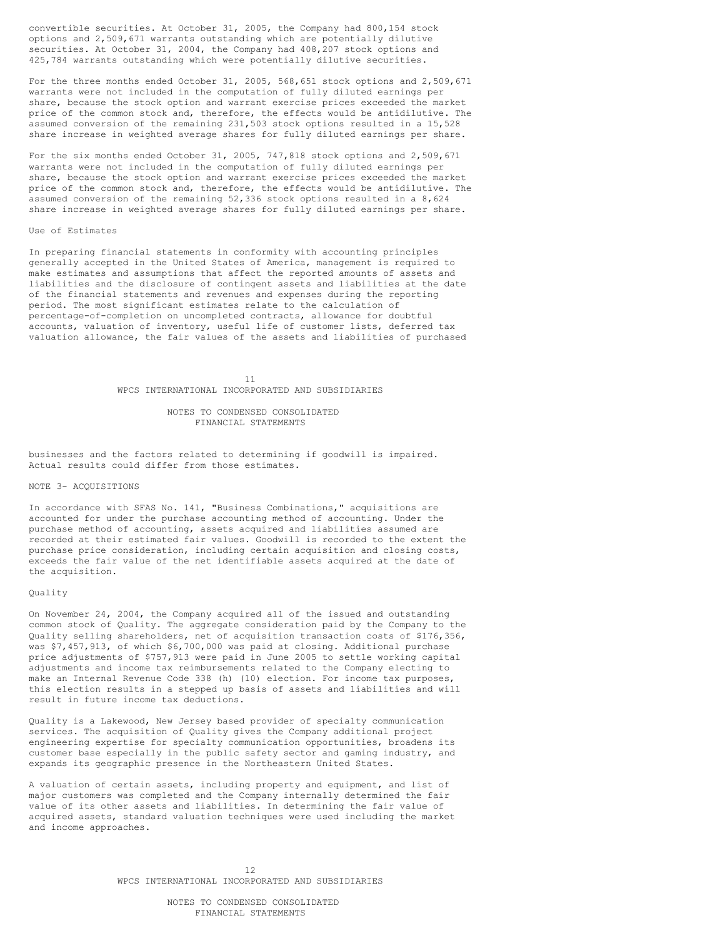convertible securities. At October 31, 2005, the Company had 800,154 stock options and 2,509,671 warrants outstanding which are potentially dilutive securities. At October 31, 2004, the Company had 408,207 stock options and 425,784 warrants outstanding which were potentially dilutive securities.

For the three months ended October 31, 2005, 568,651 stock options and 2,509,671 warrants were not included in the computation of fully diluted earnings per share, because the stock option and warrant exercise prices exceeded the market price of the common stock and, therefore, the effects would be antidilutive. The assumed conversion of the remaining 231,503 stock options resulted in a 15,528 share increase in weighted average shares for fully diluted earnings per share.

For the six months ended October 31, 2005, 747,818 stock options and 2,509,671 warrants were not included in the computation of fully diluted earnings per share, because the stock option and warrant exercise prices exceeded the market price of the common stock and, therefore, the effects would be antidilutive. The assumed conversion of the remaining 52,336 stock options resulted in a 8,624 share increase in weighted average shares for fully diluted earnings per share.

#### Use of Estimates

In preparing financial statements in conformity with accounting principles generally accepted in the United States of America, management is required to make estimates and assumptions that affect the reported amounts of assets and liabilities and the disclosure of contingent assets and liabilities at the date of the financial statements and revenues and expenses during the reporting period. The most significant estimates relate to the calculation of percentage-of-completion on uncompleted contracts, allowance for doubtful accounts, valuation of inventory, useful life of customer lists, deferred tax valuation allowance, the fair values of the assets and liabilities of purchased

> 11 WPCS INTERNATIONAL INCORPORATED AND SUBSIDIARIES

> > NOTES TO CONDENSED CONSOLIDATED FINANCIAL STATEMENTS

businesses and the factors related to determining if goodwill is impaired. Actual results could differ from those estimates.

### NOTE 3- ACQUISITIONS

In accordance with SFAS No. 141, "Business Combinations," acquisitions are accounted for under the purchase accounting method of accounting. Under the purchase method of accounting, assets acquired and liabilities assumed are recorded at their estimated fair values. Goodwill is recorded to the extent the purchase price consideration, including certain acquisition and closing costs, exceeds the fair value of the net identifiable assets acquired at the date of the acquisition.

### Quality

On November 24, 2004, the Company acquired all of the issued and outstanding common stock of Quality. The aggregate consideration paid by the Company to the Quality selling shareholders, net of acquisition transaction costs of \$176,356, was \$7,457,913, of which \$6,700,000 was paid at closing. Additional purchase price adjustments of \$757,913 were paid in June 2005 to settle working capital adjustments and income tax reimbursements related to the Company electing to make an Internal Revenue Code 338 (h) (10) election. For income tax purposes, this election results in a stepped up basis of assets and liabilities and will result in future income tax deductions.

Quality is a Lakewood, New Jersey based provider of specialty communication services. The acquisition of Quality gives the Company additional project engineering expertise for specialty communication opportunities, broadens its customer base especially in the public safety sector and gaming industry, and expands its geographic presence in the Northeastern United States.

A valuation of certain assets, including property and equipment, and list of major customers was completed and the Company internally determined the fair value of its other assets and liabilities. In determining the fair value of acquired assets, standard valuation techniques were used including the market and income approaches.

> 12 WPCS INTERNATIONAL INCORPORATED AND SUBSIDIARIES

> > NOTES TO CONDENSED CONSOLIDATED FINANCIAL STATEMENTS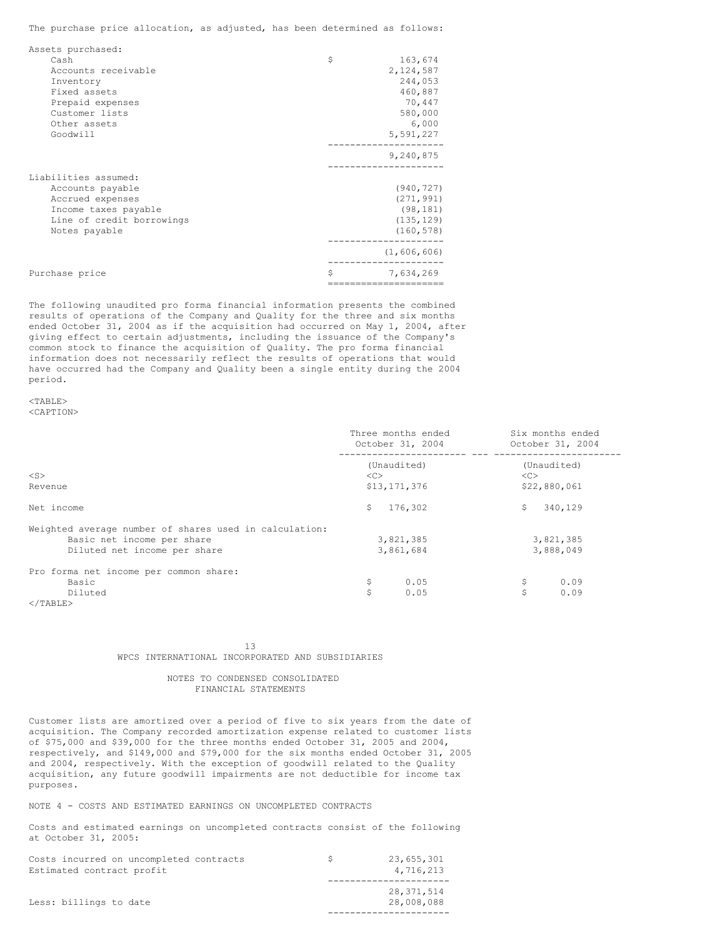The purchase price allocation, as adjusted, has been determined as follows:

| Assets purchased:         |                 |
|---------------------------|-----------------|
| Cash                      | \$<br>163,674   |
| Accounts receivable       | 2,124,587       |
| Inventory                 | 244,053         |
| Fixed assets              | 460,887         |
| Prepaid expenses          | 70,447          |
| Customer lists            | 580,000         |
| Other assets              | 6,000           |
| Goodwill                  | 5,591,227       |
|                           | 9,240,875       |
| Liabilities assumed:      |                 |
| Accounts payable          | (940, 727)      |
| Accrued expenses          | (271, 991)      |
| Income taxes payable      | (98, 181)       |
| Line of credit borrowings | (135, 129)      |
| Notes payable             | (160, 578)      |
|                           | (1, 606, 606)   |
| Purchase price            | \$<br>7,634,269 |
|                           |                 |

The following unaudited pro forma financial information presents the combined results of operations of the Company and Quality for the three and six months ended October 31, 2004 as if the acquisition had occurred on May 1, 2004, after giving effect to certain adjustments, including the issuance of the Company's common stock to finance the acquisition of Quality. The pro forma financial information does not necessarily reflect the results of operations that would have occurred had the Company and Quality been a single entity during the 2004 period.

### <TABLE> <CAPTION>

|                                                        | Three months ended<br>October 31, 2004 | Six months ended<br>October 31, 2004 |
|--------------------------------------------------------|----------------------------------------|--------------------------------------|
|                                                        | (Unaudited)                            | (Unaudited)                          |
| $<$ S $>$                                              | <<>                                    | <<                                   |
| Revenue                                                | \$13,171,376                           | \$22,880,061                         |
| Net income                                             | S.<br>176,302                          | \$<br>340,129                        |
| Weighted average number of shares used in calculation: |                                        |                                      |
| Basic net income per share                             | 3,821,385                              | 3,821,385                            |
| Diluted net income per share                           | 3,861,684                              | 3,888,049                            |
| Pro forma net income per common share:                 |                                        |                                      |
| Basic                                                  | \$<br>0.05                             | \$<br>0.09                           |
| Diluted                                                | \$<br>0.05                             | \$<br>0.09                           |
| $\langle$ /TABLE $\rangle$                             |                                        |                                      |

13 WPCS INTERNATIONAL INCORPORATED AND SUBSIDIARIES

## NOTES TO CONDENSED CONSOLIDATED FINANCIAL STATEMENTS

Customer lists are amortized over a period of five to six years from the date of acquisition. The Company recorded amortization expense related to customer lists of \$75,000 and \$39,000 for the three months ended October 31, 2005 and 2004, respectively, and \$149,000 and \$79,000 for the six months ended October 31, 2005 and 2004, respectively. With the exception of goodwill related to the Quality acquisition, any future goodwill impairments are not deductible for income tax purposes.

NOTE 4 - COSTS AND ESTIMATED EARNINGS ON UNCOMPLETED CONTRACTS

Costs and estimated earnings on uncompleted contracts consist of the following at October 31, 2005:

| 4,716,213                  |
|----------------------------|
|                            |
| 28, 371, 514<br>28,008,088 |
|                            |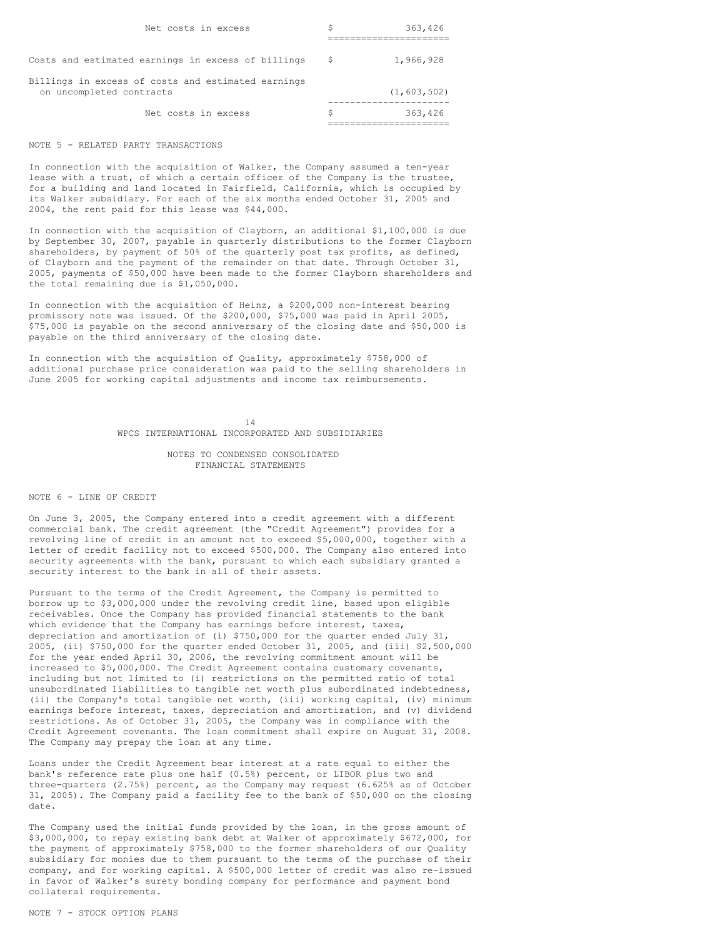| Net costs in excess                                                            | S   | 363,426       |
|--------------------------------------------------------------------------------|-----|---------------|
|                                                                                |     |               |
| Costs and estimated earnings in excess of billings                             | - S | 1,966,928     |
| Billings in excess of costs and estimated earnings<br>on uncompleted contracts |     | (1, 603, 502) |
| Net costs in excess                                                            | Ŝ   | 363,426       |

#### NOTE 5 - RELATED PARTY TRANSACTIONS

In connection with the acquisition of Walker, the Company assumed a ten-year lease with a trust, of which a certain officer of the Company is the trustee, for a building and land located in Fairfield, California, which is occupied by its Walker subsidiary. For each of the six months ended October 31, 2005 and 2004, the rent paid for this lease was \$44,000.

In connection with the acquisition of Clayborn, an additional \$1,100,000 is due by September 30, 2007, payable in quarterly distributions to the former Clayborn shareholders, by payment of 50% of the quarterly post tax profits, as defined, of Clayborn and the payment of the remainder on that date. Through October 31, 2005, payments of \$50,000 have been made to the former Clayborn shareholders and the total remaining due is \$1,050,000.

In connection with the acquisition of Heinz, a \$200,000 non-interest bearing promissory note was issued. Of the \$200,000, \$75,000 was paid in April 2005, \$75,000 is payable on the second anniversary of the closing date and \$50,000 is payable on the third anniversary of the closing date.

In connection with the acquisition of Quality, approximately \$758,000 of additional purchase price consideration was paid to the selling shareholders in June 2005 for working capital adjustments and income tax reimbursements.

> 14 WPCS INTERNATIONAL INCORPORATED AND SUBSIDIARIES

> > NOTES TO CONDENSED CONSOLIDATED FINANCIAL STATEMENTS

## NOTE 6 - LINE OF CREDIT

On June 3, 2005, the Company entered into a credit agreement with a different commercial bank. The credit agreement (the "Credit Agreement") provides for a revolving line of credit in an amount not to exceed \$5,000,000, together with a letter of credit facility not to exceed \$500,000. The Company also entered into security agreements with the bank, pursuant to which each subsidiary granted a security interest to the bank in all of their assets.

Pursuant to the terms of the Credit Agreement, the Company is permitted to borrow up to \$3,000,000 under the revolving credit line, based upon eligible receivables. Once the Company has provided financial statements to the bank which evidence that the Company has earnings before interest, taxes, depreciation and amortization of (i) \$750,000 for the quarter ended July 31, 2005, (ii) \$750,000 for the quarter ended October 31, 2005, and (iii) \$2,500,000 for the year ended April 30, 2006, the revolving commitment amount will be increased to \$5,000,000. The Credit Agreement contains customary covenants, including but not limited to (i) restrictions on the permitted ratio of total unsubordinated liabilities to tangible net worth plus subordinated indebtedness, (ii) the Company's total tangible net worth, (iii) working capital, (iv) minimum earnings before interest, taxes, depreciation and amortization, and (v) dividend restrictions. As of October 31, 2005, the Company was in compliance with the Credit Agreement covenants. The loan commitment shall expire on August 31, 2008. The Company may prepay the loan at any time.

Loans under the Credit Agreement bear interest at a rate equal to either the bank's reference rate plus one half (0.5%) percent, or LIBOR plus two and three-quarters (2.75%) percent, as the Company may request (6.625% as of October 31, 2005). The Company paid a facility fee to the bank of \$50,000 on the closing date.

The Company used the initial funds provided by the loan, in the gross amount of \$3,000,000, to repay existing bank debt at Walker of approximately \$672,000, for the payment of approximately \$758,000 to the former shareholders of our Quality subsidiary for monies due to them pursuant to the terms of the purchase of their company, and for working capital. A \$500,000 letter of credit was also re-issued in favor of Walker's surety bonding company for performance and payment bond collateral requirements.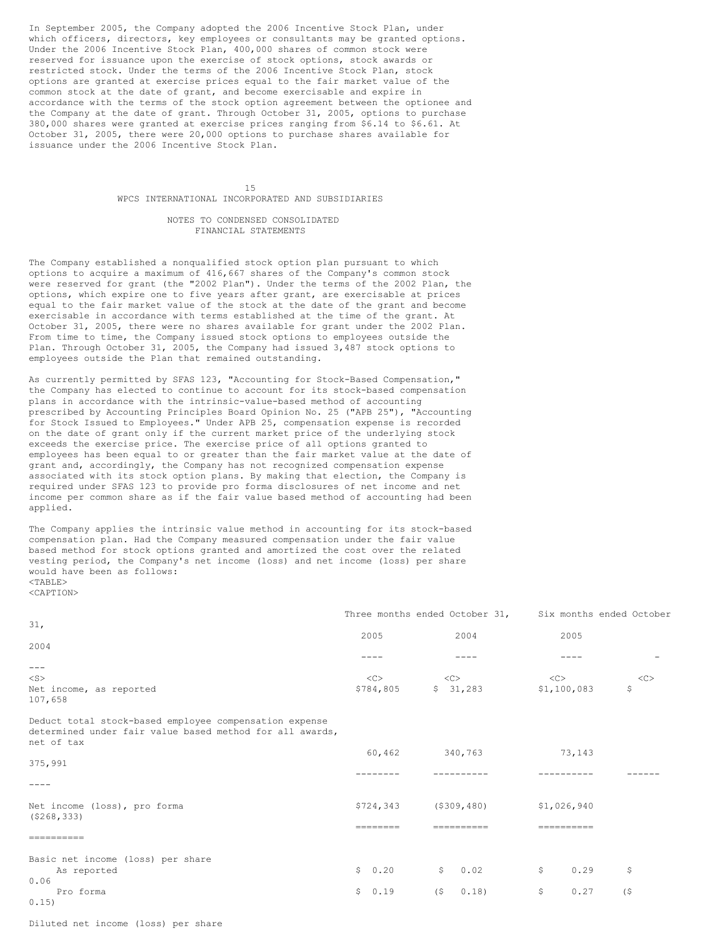In September 2005, the Company adopted the 2006 Incentive Stock Plan, under which officers, directors, key employees or consultants may be granted options. Under the 2006 Incentive Stock Plan, 400,000 shares of common stock were reserved for issuance upon the exercise of stock options, stock awards or restricted stock. Under the terms of the 2006 Incentive Stock Plan, stock options are granted at exercise prices equal to the fair market value of the common stock at the date of grant, and become exercisable and expire in accordance with the terms of the stock option agreement between the optionee and the Company at the date of grant. Through October 31, 2005, options to purchase 380,000 shares were granted at exercise prices ranging from \$6.14 to \$6.61. At October 31, 2005, there were 20,000 options to purchase shares available for issuance under the 2006 Incentive Stock Plan.

> 15 WPCS INTERNATIONAL INCORPORATED AND SUBSIDIARIES

## NOTES TO CONDENSED CONSOLIDATED FINANCIAL STATEMENTS

The Company established a nonqualified stock option plan pursuant to which options to acquire a maximum of 416,667 shares of the Company's common stock were reserved for grant (the "2002 Plan"). Under the terms of the 2002 Plan, the options, which expire one to five years after grant, are exercisable at prices equal to the fair market value of the stock at the date of the grant and become exercisable in accordance with terms established at the time of the grant. At October 31, 2005, there were no shares available for grant under the 2002 Plan. From time to time, the Company issued stock options to employees outside the Plan. Through October 31, 2005, the Company had issued 3,487 stock options to employees outside the Plan that remained outstanding.

As currently permitted by SFAS 123, "Accounting for Stock-Based Compensation," the Company has elected to continue to account for its stock-based compensation plans in accordance with the intrinsic-value-based method of accounting prescribed by Accounting Principles Board Opinion No. 25 ("APB 25"), "Accounting for Stock Issued to Employees." Under APB 25, compensation expense is recorded on the date of grant only if the current market price of the underlying stock exceeds the exercise price. The exercise price of all options granted to employees has been equal to or greater than the fair market value at the date of grant and, accordingly, the Company has not recognized compensation expense associated with its stock option plans. By making that election, the Company is required under SFAS 123 to provide pro forma disclosures of net income and net income per common share as if the fair value based method of accounting had been applied.

The Company applies the intrinsic value method in accounting for its stock-based compensation plan. Had the Company measured compensation under the fair value based method for stock options granted and amortized the cost over the related vesting period, the Company's net income (loss) and net income (loss) per share would have been as follows:  $<$ TABLE>

<CAPTION>

|                                                                                                                                  |                 | Three months ended October 31, Six months ended October |                                 |          |
|----------------------------------------------------------------------------------------------------------------------------------|-----------------|---------------------------------------------------------|---------------------------------|----------|
| 31,                                                                                                                              | 2005            | 2004                                                    | 2005                            |          |
| 2004                                                                                                                             |                 |                                                         |                                 |          |
| $---$                                                                                                                            | ----            |                                                         |                                 |          |
| $<$ S $>$<br>Net income, as reported<br>107,658                                                                                  | <<<br>\$784,805 | <<<br>\$31,283                                          | $<<$ $<$ $<$ $>$<br>\$1,100,083 | <<<br>\$ |
| Deduct total stock-based employee compensation expense<br>determined under fair value based method for all awards,<br>net of tax |                 |                                                         |                                 |          |
| 375,991                                                                                                                          | 60,462          | 340,763                                                 | 73,143                          |          |
|                                                                                                                                  |                 |                                                         |                                 |          |
| Net income (loss), pro forma<br>( \$268, 333)                                                                                    | \$724,343       | ( \$309, 480)                                           | \$1,026,940                     |          |
| ==========                                                                                                                       | ========        | ==========                                              | ==========                      |          |
| Basic net income (loss) per share<br>As reported<br>0.06                                                                         | S.<br>0.20      | 0.02<br>S.                                              | 0.29<br>\$                      | \$       |
| Pro forma<br>0.15)                                                                                                               | \$<br>0.19      | $($ \$<br>0.18)                                         | \$<br>0.27                      | $($ \$   |

Diluted net income (loss) per share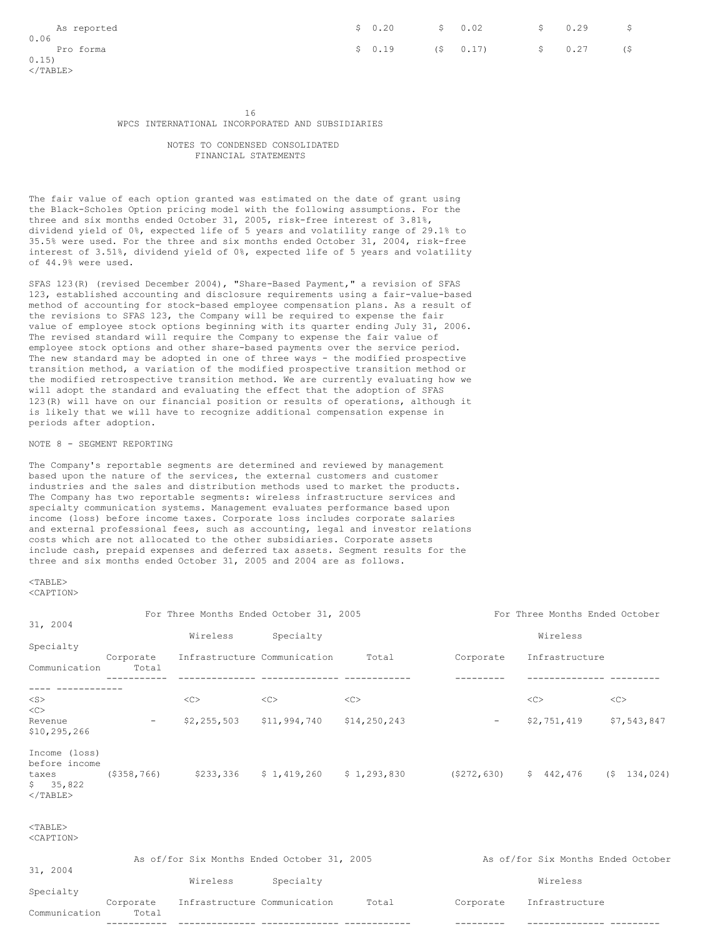0.06 0.15)  $<$ /TABLE>

| As reported | $$0.20$ $$0.02$ |                                                                                                                                                                                                                                                                                                                   | $\sim$ \$ 0.29 | $\sim$ \$ |
|-------------|-----------------|-------------------------------------------------------------------------------------------------------------------------------------------------------------------------------------------------------------------------------------------------------------------------------------------------------------------|----------------|-----------|
| Pro forma   |                 | $\frac{1}{2}$ $\frac{1}{9}$ $\frac{1}{10}$ $\frac{1}{10}$ $\frac{1}{10}$ $\frac{1}{10}$ $\frac{1}{10}$ $\frac{1}{10}$ $\frac{1}{10}$ $\frac{1}{10}$ $\frac{1}{10}$ $\frac{1}{10}$ $\frac{1}{10}$ $\frac{1}{10}$ $\frac{1}{10}$ $\frac{1}{10}$ $\frac{1}{10}$ $\frac{1}{10}$ $\frac{1}{10}$ $\frac{1}{10}$ $\frac$ |                |           |

16 WPCS INTERNATIONAL INCORPORATED AND SUBSIDIARIES

## NOTES TO CONDENSED CONSOLIDATED FINANCIAL STATEMENTS

The fair value of each option granted was estimated on the date of grant using the Black-Scholes Option pricing model with the following assumptions. For the three and six months ended October 31, 2005, risk-free interest of 3.81%, dividend yield of 0%, expected life of 5 years and volatility range of 29.1% to 35.5% were used. For the three and six months ended October 31, 2004, risk-free interest of 3.51%, dividend yield of 0%, expected life of 5 years and volatility of 44.9% were used.

SFAS 123(R) (revised December 2004), "Share-Based Payment," a revision of SFAS 123, established accounting and disclosure requirements using a fair-value-based method of accounting for stock-based employee compensation plans. As a result of the revisions to SFAS 123, the Company will be required to expense the fair value of employee stock options beginning with its quarter ending July 31, 2006. The revised standard will require the Company to expense the fair value of employee stock options and other share-based payments over the service period. The new standard may be adopted in one of three ways - the modified prospective transition method, a variation of the modified prospective transition method or the modified retrospective transition method. We are currently evaluating how we will adopt the standard and evaluating the effect that the adoption of SFAS 123(R) will have on our financial position or results of operations, although it is likely that we will have to recognize additional compensation expense in periods after adoption.

### NOTE 8 - SEGMENT REPORTING

The Company's reportable segments are determined and reviewed by management based upon the nature of the services, the external customers and customer industries and the sales and distribution methods used to market the products. The Company has two reportable segments: wireless infrastructure services and specialty communication systems. Management evaluates performance based upon income (loss) before income taxes. Corporate loss includes corporate salaries and external professional fees, such as accounting, legal and investor relations costs which are not allocated to the other subsidiaries. Corporate assets include cash, prepaid expenses and deferred tax assets. Segment results for the three and six months ended October 31, 2005 and 2004 are as follows.

#### <TABLE> <CAPTION>

|                                                                    |                          |                              | For Three Months Ended October 31, 2005     |              |                                                                  | For Three Months Ended October     |                 |
|--------------------------------------------------------------------|--------------------------|------------------------------|---------------------------------------------|--------------|------------------------------------------------------------------|------------------------------------|-----------------|
| 31, 2004                                                           |                          | Wireless                     | Specialty                                   |              |                                                                  | Wireless                           |                 |
| Specialty                                                          | Corporate                | Infrastructure Communication |                                             | Total        | Corporate                                                        | Infrastructure                     |                 |
| Communication                                                      | Total                    |                              |                                             |              |                                                                  |                                    |                 |
|                                                                    |                          |                              |                                             |              |                                                                  |                                    |                 |
| $<$ S $>$<br><<                                                    |                          | <<                           | <<                                          | <<           |                                                                  | $<<$ $<$ $>$                       | <<              |
| Revenue<br>\$10,295,266                                            | $\overline{\phantom{m}}$ | \$2,255,503                  | \$11,994,740                                | \$14,250,243 | $ \,$                                                            | \$2,751,419                        | \$7,543,847     |
| Income (loss)<br>before income<br>taxes<br>\$35,822<br>$<$ /TABLE> |                          |                              |                                             |              | $($ \$358,766)  \$233,336 \$1,419,260 \$1,293,830 $($ \$272,630) | \$442,476                          | $($ \$ 134,024) |
| $<$ TABLE><br><caption></caption>                                  |                          |                              |                                             |              |                                                                  |                                    |                 |
| 31, 2004                                                           |                          |                              | As of/for Six Months Ended October 31, 2005 |              |                                                                  | As of/for Six Months Ended October |                 |
|                                                                    |                          | Wireless                     | Specialty                                   |              |                                                                  | Wireless                           |                 |
| Specialty                                                          |                          |                              |                                             |              |                                                                  |                                    |                 |
| Communication                                                      | Corporate<br>Total       |                              | Infrastructure Communication                | Total        | Corporate                                                        | Infrastructure                     |                 |

----------- -------------- -------------- ------------ --------- -------------- ---------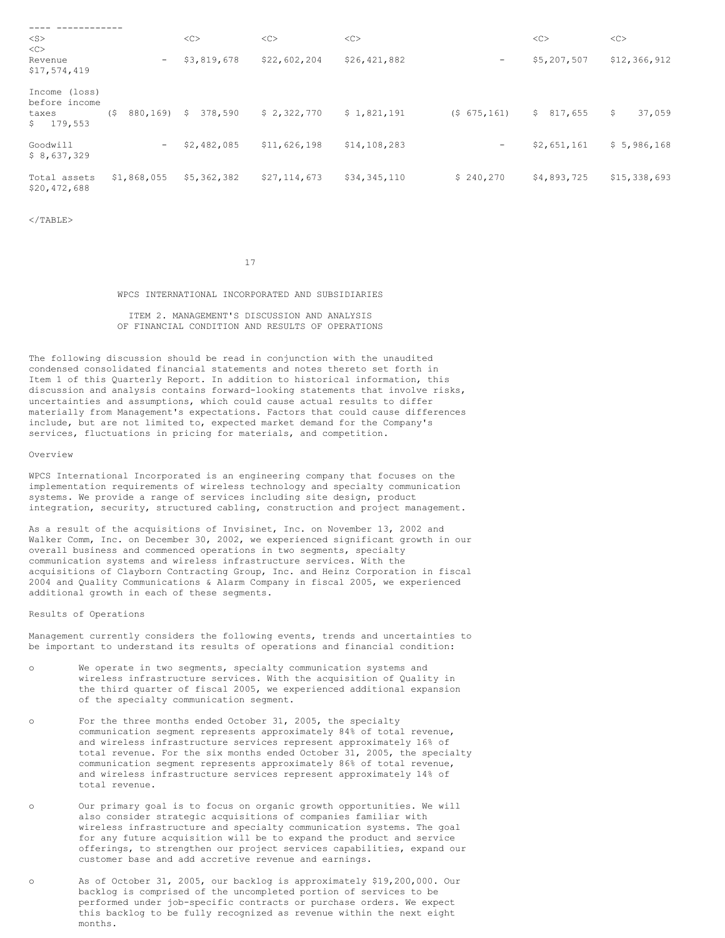| $<$ S $>$                      |                          | <<          | <<           | $<<$ $<$ $>$ |                          | <<          | <<           |
|--------------------------------|--------------------------|-------------|--------------|--------------|--------------------------|-------------|--------------|
| <<                             |                          |             |              |              |                          |             |              |
| Revenue                        | $\overline{\phantom{m}}$ | \$3,819,678 | \$22,602,204 | \$26,421,882 | $\overline{\phantom{0}}$ | \$5,207,507 | \$12,366,912 |
| \$17,574,419                   |                          |             |              |              |                          |             |              |
| Income (loss)<br>before income |                          |             |              |              |                          |             |              |
| taxes                          | 880,169)<br>(S           | \$378,590   | \$2,322,770  | \$1,821,191  | (S 675, 161)             | \$817,655   | \$<br>37,059 |
| \$179,553                      |                          |             |              |              |                          |             |              |
| Goodwill                       | $ \,$                    | \$2,482,085 | \$11,626,198 | \$14,108,283 | $\overline{\phantom{0}}$ | \$2,651,161 | \$5,986,168  |
| \$8,637,329                    |                          |             |              |              |                          |             |              |
| Total assets                   | \$1,868,055              | \$5,362,382 | \$27,114,673 | \$34,345,110 | \$240,270                | \$4,893,725 | \$15,338,693 |
| \$20,472,688                   |                          |             |              |              |                          |             |              |

 $\langle$ /TABLE>

17

## WPCS INTERNATIONAL INCORPORATED AND SUBSIDIARIES

## ITEM 2. MANAGEMENT'S DISCUSSION AND ANALYSIS OF FINANCIAL CONDITION AND RESULTS OF OPERATIONS

The following discussion should be read in conjunction with the unaudited condensed consolidated financial statements and notes thereto set forth in Item 1 of this Quarterly Report. In addition to historical information, this discussion and analysis contains forward-looking statements that involve risks, uncertainties and assumptions, which could cause actual results to differ materially from Management's expectations. Factors that could cause differences include, but are not limited to, expected market demand for the Company's services, fluctuations in pricing for materials, and competition.

## Overview

WPCS International Incorporated is an engineering company that focuses on the implementation requirements of wireless technology and specialty communication systems. We provide a range of services including site design, product integration, security, structured cabling, construction and project management.

As a result of the acquisitions of Invisinet, Inc. on November 13, 2002 and Walker Comm, Inc. on December 30, 2002, we experienced significant growth in our overall business and commenced operations in two segments, specialty communication systems and wireless infrastructure services. With the acquisitions of Clayborn Contracting Group, Inc. and Heinz Corporation in fiscal 2004 and Quality Communications & Alarm Company in fiscal 2005, we experienced additional growth in each of these segments.

#### Results of Operations

Management currently considers the following events, trends and uncertainties to be important to understand its results of operations and financial condition:

- o We operate in two segments, specialty communication systems and wireless infrastructure services. With the acquisition of Quality in the third quarter of fiscal 2005, we experienced additional expansion of the specialty communication segment.
- o For the three months ended October 31, 2005, the specialty communication segment represents approximately 84% of total revenue, and wireless infrastructure services represent approximately 16% of total revenue. For the six months ended October 31, 2005, the specialty communication segment represents approximately 86% of total revenue, and wireless infrastructure services represent approximately 14% of total revenue.
- o Our primary goal is to focus on organic growth opportunities. We will also consider strategic acquisitions of companies familiar with wireless infrastructure and specialty communication systems. The goal for any future acquisition will be to expand the product and service offerings, to strengthen our project services capabilities, expand our customer base and add accretive revenue and earnings.
- o As of October 31, 2005, our backlog is approximately \$19,200,000. Our backlog is comprised of the uncompleted portion of services to be performed under job-specific contracts or purchase orders. We expect this backlog to be fully recognized as revenue within the next eight months.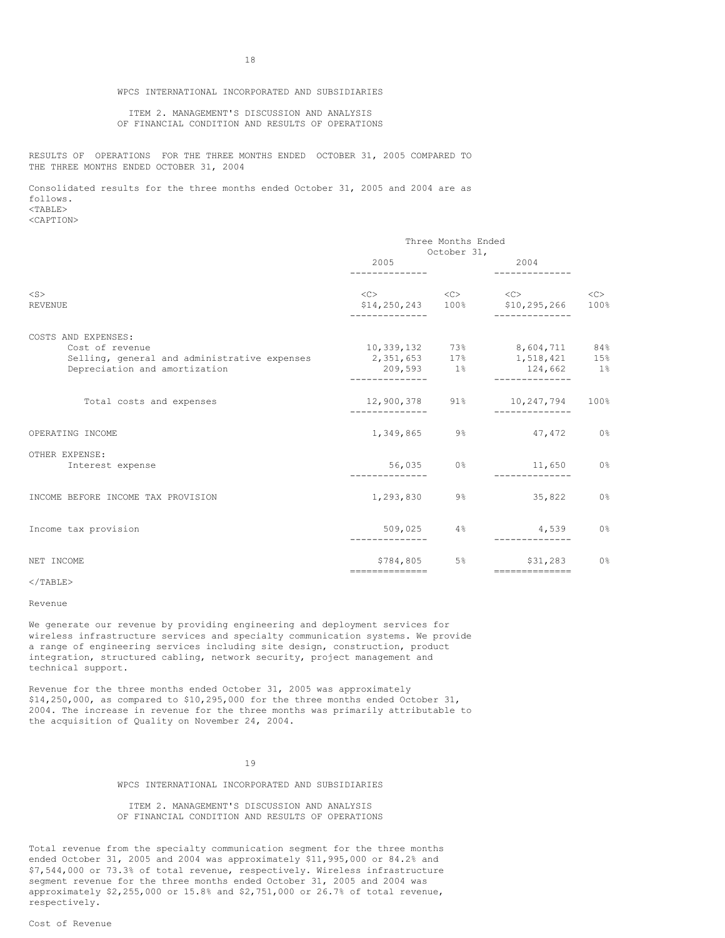WPCS INTERNATIONAL INCORPORATED AND SUBSIDIARIES

ITEM 2. MANAGEMENT'S DISCUSSION AND ANALYSIS OF FINANCIAL CONDITION AND RESULTS OF OPERATIONS

RESULTS OF OPERATIONS FOR THE THREE MONTHS ENDED OCTOBER 31, 2005 COMPARED TO THE THREE MONTHS ENDED OCTOBER 31, 2004

Consolidated results for the three months ended October 31, 2005 and 2004 are as follows. <TABLE> <CAPTION>

|                                                                                                                         | Three Months Ended<br>October 31, |  |                                                                                                        |                   |
|-------------------------------------------------------------------------------------------------------------------------|-----------------------------------|--|--------------------------------------------------------------------------------------------------------|-------------------|
|                                                                                                                         | 2005                              |  | 2004<br>--------------                                                                                 |                   |
| $<$ S $>$<br><b>REVENUE</b>                                                                                             |                                   |  | $\langle C \rangle$ $\langle C \rangle$ $\langle C \rangle$<br>\$14,250,243 100% \$10,295,266          | $<\infty$<br>100% |
| COSTS AND EXPENSES:<br>Cost of revenue<br>Selling, general and administrative expenses<br>Depreciation and amortization |                                   |  | 10,339,132 73% 8,604,711 84%<br>2, 351, 653 17% 1, 518, 421<br>209,593 1% 124,662 1%<br>-------------- | 15%               |
| Total costs and expenses                                                                                                |                                   |  | 12,900,378 91% 10,247,794                                                                              | 100%              |
| OPERATING INCOME                                                                                                        |                                   |  | 1,349,865 9% 47,472 0%                                                                                 |                   |
| OTHER EXPENSE:<br>Interest expense                                                                                      |                                   |  | 56,035 0% 11,650                                                                                       | 0 <sup>8</sup>    |
| INCOME BEFORE INCOME TAX PROVISION                                                                                      |                                   |  | 1,293,830 9% 35,822 0%                                                                                 |                   |
| Income tax provision                                                                                                    |                                   |  | 509,025 4% 4,539                                                                                       | 0 <sup>°</sup>    |
| NET INCOME                                                                                                              | ---------------                   |  | $$784,805$ 5% $$31,283$ 0%<br>---------------                                                          |                   |

 $<$ /TABLE>

Revenue

We generate our revenue by providing engineering and deployment services for wireless infrastructure services and specialty communication systems. We provide a range of engineering services including site design, construction, product integration, structured cabling, network security, project management and technical support.

Revenue for the three months ended October 31, 2005 was approximately \$14,250,000, as compared to \$10,295,000 for the three months ended October 31, 2004. The increase in revenue for the three months was primarily attributable to the acquisition of Quality on November 24, 2004.

19

WPCS INTERNATIONAL INCORPORATED AND SUBSIDIARIES

### ITEM 2. MANAGEMENT'S DISCUSSION AND ANALYSIS OF FINANCIAL CONDITION AND RESULTS OF OPERATIONS

Total revenue from the specialty communication segment for the three months ended October 31, 2005 and 2004 was approximately \$11,995,000 or 84.2% and \$7,544,000 or 73.3% of total revenue, respectively. Wireless infrastructure segment revenue for the three months ended October 31, 2005 and 2004 was approximately \$2,255,000 or 15.8% and \$2,751,000 or 26.7% of total revenue, respectively.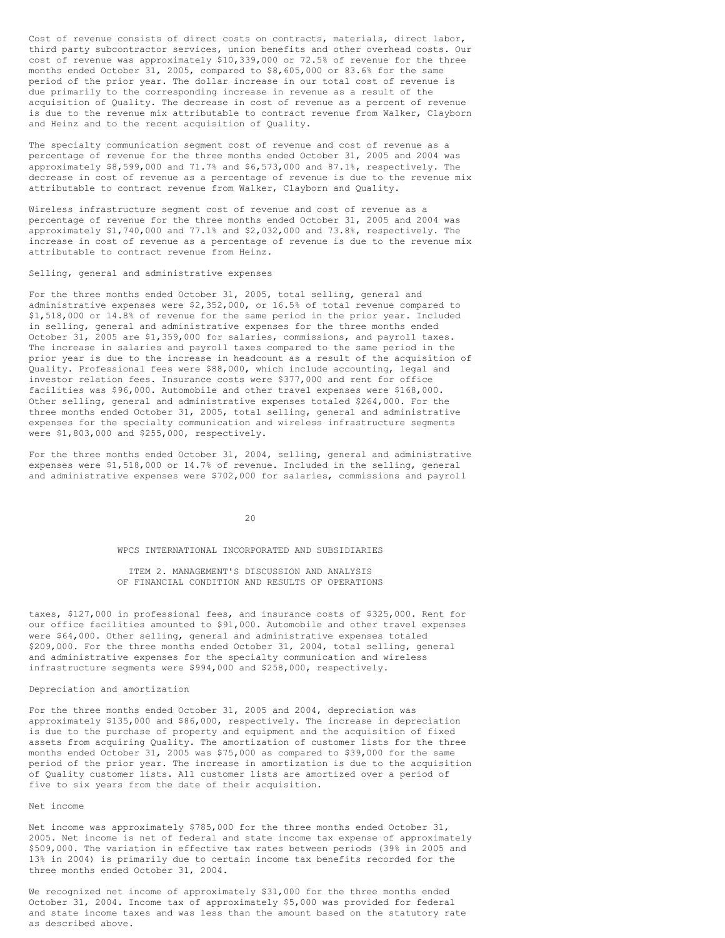Cost of revenue consists of direct costs on contracts, materials, direct labor, third party subcontractor services, union benefits and other overhead costs. Our cost of revenue was approximately \$10,339,000 or 72.5% of revenue for the three months ended October 31, 2005, compared to \$8,605,000 or 83.6% for the same period of the prior year. The dollar increase in our total cost of revenue is due primarily to the corresponding increase in revenue as a result of the acquisition of Quality. The decrease in cost of revenue as a percent of revenue is due to the revenue mix attributable to contract revenue from Walker, Clayborn and Heinz and to the recent acquisition of Quality.

The specialty communication segment cost of revenue and cost of revenue as a percentage of revenue for the three months ended October 31, 2005 and 2004 was approximately \$8,599,000 and 71.7% and \$6,573,000 and 87.1%, respectively. The decrease in cost of revenue as a percentage of revenue is due to the revenue mix attributable to contract revenue from Walker, Clayborn and Quality.

Wireless infrastructure segment cost of revenue and cost of revenue as a percentage of revenue for the three months ended October 31, 2005 and 2004 was approximately \$1,740,000 and 77.1% and \$2,032,000 and 73.8%, respectively. The increase in cost of revenue as a percentage of revenue is due to the revenue mix attributable to contract revenue from Heinz.

#### Selling, general and administrative expenses

For the three months ended October 31, 2005, total selling, general and administrative expenses were \$2,352,000, or 16.5% of total revenue compared to \$1,518,000 or 14.8% of revenue for the same period in the prior year. Included in selling, general and administrative expenses for the three months ended October 31, 2005 are \$1,359,000 for salaries, commissions, and payroll taxes. The increase in salaries and payroll taxes compared to the same period in the prior year is due to the increase in headcount as a result of the acquisition of Quality. Professional fees were \$88,000, which include accounting, legal and investor relation fees. Insurance costs were \$377,000 and rent for office facilities was \$96,000. Automobile and other travel expenses were \$168,000. Other selling, general and administrative expenses totaled \$264,000. For the three months ended October 31, 2005, total selling, general and administrative expenses for the specialty communication and wireless infrastructure segments were \$1,803,000 and \$255,000, respectively.

For the three months ended October 31, 2004, selling, general and administrative expenses were \$1,518,000 or 14.7% of revenue. Included in the selling, general and administrative expenses were \$702,000 for salaries, commissions and payroll

 $20$ 

#### WPCS INTERNATIONAL INCORPORATED AND SUBSIDIARIES

### ITEM 2. MANAGEMENT'S DISCUSSION AND ANALYSIS OF FINANCIAL CONDITION AND RESULTS OF OPERATIONS

taxes, \$127,000 in professional fees, and insurance costs of \$325,000. Rent for our office facilities amounted to \$91,000. Automobile and other travel expenses were \$64,000. Other selling, general and administrative expenses totaled \$209,000. For the three months ended October 31, 2004, total selling, general and administrative expenses for the specialty communication and wireless infrastructure segments were \$994,000 and \$258,000, respectively.

#### Depreciation and amortization

For the three months ended October 31, 2005 and 2004, depreciation was approximately \$135,000 and \$86,000, respectively. The increase in depreciation is due to the purchase of property and equipment and the acquisition of fixed assets from acquiring Quality. The amortization of customer lists for the three months ended October 31, 2005 was \$75,000 as compared to \$39,000 for the same period of the prior year. The increase in amortization is due to the acquisition of Quality customer lists. All customer lists are amortized over a period of five to six years from the date of their acquisition.

## Net income

Net income was approximately \$785,000 for the three months ended October 31, 2005. Net income is net of federal and state income tax expense of approximately \$509,000. The variation in effective tax rates between periods (39% in 2005 and 13% in 2004) is primarily due to certain income tax benefits recorded for the three months ended October 31, 2004.

We recognized net income of approximately \$31,000 for the three months ended October 31, 2004. Income tax of approximately \$5,000 was provided for federal and state income taxes and was less than the amount based on the statutory rate as described above.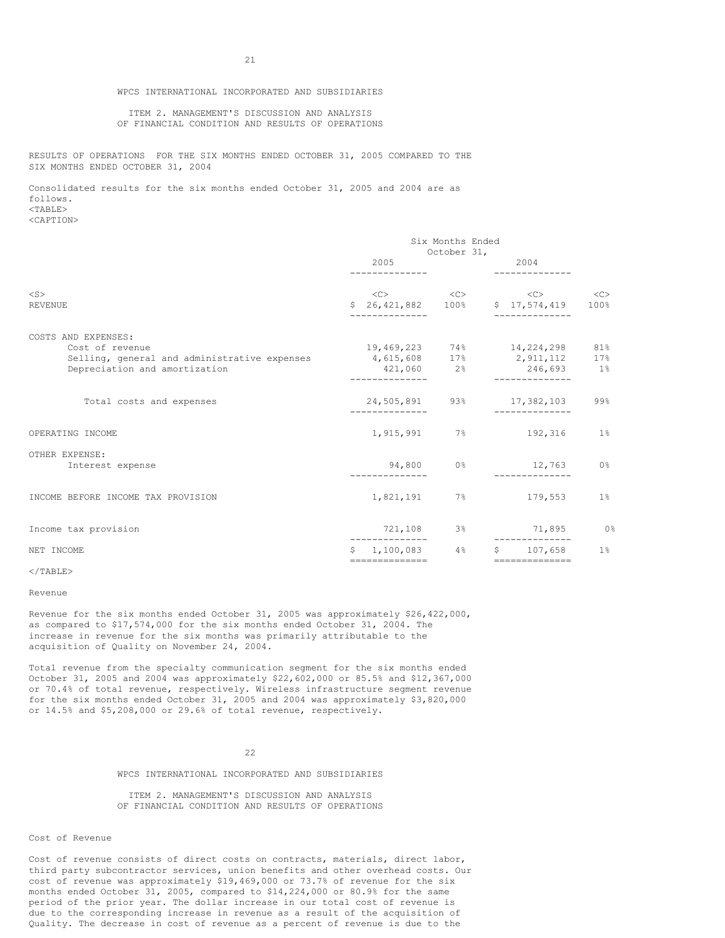WPCS INTERNATIONAL INCORPORATED AND SUBSIDIARIES

ITEM 2. MANAGEMENT'S DISCUSSION AND ANALYSIS OF FINANCIAL CONDITION AND RESULTS OF OPERATIONS

RESULTS OF OPERATIONS FOR THE SIX MONTHS ENDED OCTOBER 31, 2005 COMPARED TO THE SIX MONTHS ENDED OCTOBER 31, 2004

Consolidated results for the six months ended October 31, 2005 and 2004 are as follows. <TABLE>

<CAPTION>

|                                              | Six Months Ended<br>October 31, |  |                                                                                                                                                                                                                                                                                                                                                                                                                                                                                                                   |       |
|----------------------------------------------|---------------------------------|--|-------------------------------------------------------------------------------------------------------------------------------------------------------------------------------------------------------------------------------------------------------------------------------------------------------------------------------------------------------------------------------------------------------------------------------------------------------------------------------------------------------------------|-------|
|                                              | 2005                            |  | 2004                                                                                                                                                                                                                                                                                                                                                                                                                                                                                                              |       |
| $<$ S><br><b>REVENUE</b>                     |                                 |  | $\begin{matrix} \langle C \rangle & \langle C \rangle & \langle C \rangle & \langle C \rangle & \langle C \rangle & \end{matrix}$<br>\$ 26,421,882 100% \$ 17,574,419 100%                                                                                                                                                                                                                                                                                                                                        |       |
| COSTS AND EXPENSES:                          |                                 |  |                                                                                                                                                                                                                                                                                                                                                                                                                                                                                                                   |       |
| Cost of revenue                              |                                 |  | 19,469,223 74% 14,224,298 81%                                                                                                                                                                                                                                                                                                                                                                                                                                                                                     |       |
| Selling, general and administrative expenses |                                 |  | 4,615,608 17% 2,911,112 17%                                                                                                                                                                                                                                                                                                                                                                                                                                                                                       |       |
| Depreciation and amortization                |                                 |  | 421,060 2% 246,693 1%                                                                                                                                                                                                                                                                                                                                                                                                                                                                                             |       |
| Total costs and expenses                     |                                 |  | 24,505,891 93% 17,382,103                                                                                                                                                                                                                                                                                                                                                                                                                                                                                         | 99%   |
| OPERATING INCOME                             |                                 |  | 1,915,991 7% 192,316                                                                                                                                                                                                                                                                                                                                                                                                                                                                                              | $1\%$ |
| OTHER EXPENSE:<br>Interest expense           |                                 |  | 94,800 0% 12,763                                                                                                                                                                                                                                                                                                                                                                                                                                                                                                  | 0 %   |
| INCOME BEFORE INCOME TAX PROVISION           |                                 |  | 1,821,191 7% 179,553                                                                                                                                                                                                                                                                                                                                                                                                                                                                                              | $1\%$ |
| Income tax provision                         |                                 |  | 721,108 3% 71,895 0%                                                                                                                                                                                                                                                                                                                                                                                                                                                                                              |       |
| NET INCOME                                   | ---------------                 |  | 1,100,083 4% \$ 107,658<br>$\begin{array}{cccccccccccccc} \multicolumn{2}{c}{} & \multicolumn{2}{c}{} & \multicolumn{2}{c}{} & \multicolumn{2}{c}{} & \multicolumn{2}{c}{} & \multicolumn{2}{c}{} & \multicolumn{2}{c}{} & \multicolumn{2}{c}{} & \multicolumn{2}{c}{} & \multicolumn{2}{c}{} & \multicolumn{2}{c}{} & \multicolumn{2}{c}{} & \multicolumn{2}{c}{} & \multicolumn{2}{c}{} & \multicolumn{2}{c}{} & \multicolumn{2}{c}{} & \multicolumn{2}{c}{} & \multicolumn{2}{c}{} & \multicolumn{2}{c}{} & \$ | $1\%$ |

 $<$ /TABLE>

Revenue

Revenue for the six months ended October 31, 2005 was approximately \$26,422,000, as compared to \$17,574,000 for the six months ended October 31, 2004. The increase in revenue for the six months was primarily attributable to the acquisition of Quality on November 24, 2004.

Total revenue from the specialty communication segment for the six months ended October 31, 2005 and 2004 was approximately \$22,602,000 or 85.5% and \$12,367,000 or 70.4% of total revenue, respectively. Wireless infrastructure segment revenue for the six months ended October 31, 2005 and 2004 was approximately \$3,820,000 or 14.5% and \$5,208,000 or 29.6% of total revenue, respectively.

22

WPCS INTERNATIONAL INCORPORATED AND SUBSIDIARIES

ITEM 2. MANAGEMENT'S DISCUSSION AND ANALYSIS OF FINANCIAL CONDITION AND RESULTS OF OPERATIONS

Cost of Revenue

Cost of revenue consists of direct costs on contracts, materials, direct labor, third party subcontractor services, union benefits and other overhead costs. Our cost of revenue was approximately \$19,469,000 or 73.7% of revenue for the six months ended October 31, 2005, compared to \$14,224,000 or 80.9% for the same period of the prior year. The dollar increase in our total cost of revenue is due to the corresponding increase in revenue as a result of the acquisition of Quality. The decrease in cost of revenue as a percent of revenue is due to the

21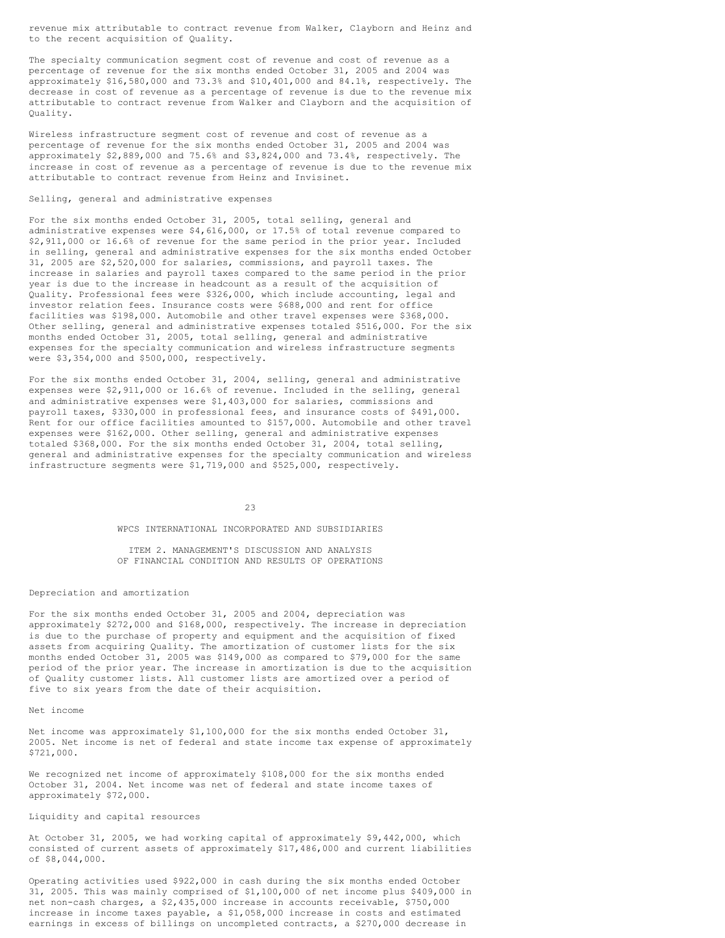revenue mix attributable to contract revenue from Walker, Clayborn and Heinz and to the recent acquisition of Quality.

The specialty communication segment cost of revenue and cost of revenue as a percentage of revenue for the six months ended October 31, 2005 and 2004 was approximately \$16,580,000 and 73.3% and \$10,401,000 and 84.1%, respectively. The decrease in cost of revenue as a percentage of revenue is due to the revenue mix attributable to contract revenue from Walker and Clayborn and the acquisition of Quality.

Wireless infrastructure segment cost of revenue and cost of revenue as a percentage of revenue for the six months ended October 31, 2005 and 2004 was approximately \$2,889,000 and 75.6% and \$3,824,000 and 73.4%, respectively. The increase in cost of revenue as a percentage of revenue is due to the revenue mix attributable to contract revenue from Heinz and Invisinet.

#### Selling, general and administrative expenses

For the six months ended October 31, 2005, total selling, general and administrative expenses were \$4,616,000, or 17.5% of total revenue compared to \$2,911,000 or 16.6% of revenue for the same period in the prior year. Included in selling, general and administrative expenses for the six months ended October 31, 2005 are \$2,520,000 for salaries, commissions, and payroll taxes. The increase in salaries and payroll taxes compared to the same period in the prior year is due to the increase in headcount as a result of the acquisition of Quality. Professional fees were \$326,000, which include accounting, legal and investor relation fees. Insurance costs were \$688,000 and rent for office facilities was \$198,000. Automobile and other travel expenses were \$368,000. Other selling, general and administrative expenses totaled \$516,000. For the six months ended October 31, 2005, total selling, general and administrative expenses for the specialty communication and wireless infrastructure segments were \$3,354,000 and \$500,000, respectively.

For the six months ended October 31, 2004, selling, general and administrative expenses were \$2,911,000 or 16.6% of revenue. Included in the selling, general and administrative expenses were \$1,403,000 for salaries, commissions and payroll taxes, \$330,000 in professional fees, and insurance costs of \$491,000. Rent for our office facilities amounted to \$157,000. Automobile and other travel expenses were \$162,000. Other selling, general and administrative expenses totaled \$368,000. For the six months ended October 31, 2004, total selling, general and administrative expenses for the specialty communication and wireless infrastructure segments were \$1,719,000 and \$525,000, respectively.

23

## WPCS INTERNATIONAL INCORPORATED AND SUBSIDIARIES

ITEM 2. MANAGEMENT'S DISCUSSION AND ANALYSIS OF FINANCIAL CONDITION AND RESULTS OF OPERATIONS

#### Depreciation and amortization

For the six months ended October 31, 2005 and 2004, depreciation was approximately \$272,000 and \$168,000, respectively. The increase in depreciation is due to the purchase of property and equipment and the acquisition of fixed assets from acquiring Quality. The amortization of customer lists for the six months ended October 31, 2005 was \$149,000 as compared to \$79,000 for the same period of the prior year. The increase in amortization is due to the acquisition of Quality customer lists. All customer lists are amortized over a period of five to six years from the date of their acquisition.

#### Net income

Net income was approximately \$1,100,000 for the six months ended October 31, 2005. Net income is net of federal and state income tax expense of approximately \$721,000.

We recognized net income of approximately \$108,000 for the six months ended October 31, 2004. Net income was net of federal and state income taxes of approximately \$72,000.

### Liquidity and capital resources

At October 31, 2005, we had working capital of approximately \$9,442,000, which consisted of current assets of approximately \$17,486,000 and current liabilities of \$8,044,000.

Operating activities used \$922,000 in cash during the six months ended October 31, 2005. This was mainly comprised of \$1,100,000 of net income plus \$409,000 in net non-cash charges, a \$2,435,000 increase in accounts receivable, \$750,000 increase in income taxes payable, a \$1,058,000 increase in costs and estimated earnings in excess of billings on uncompleted contracts, a \$270,000 decrease in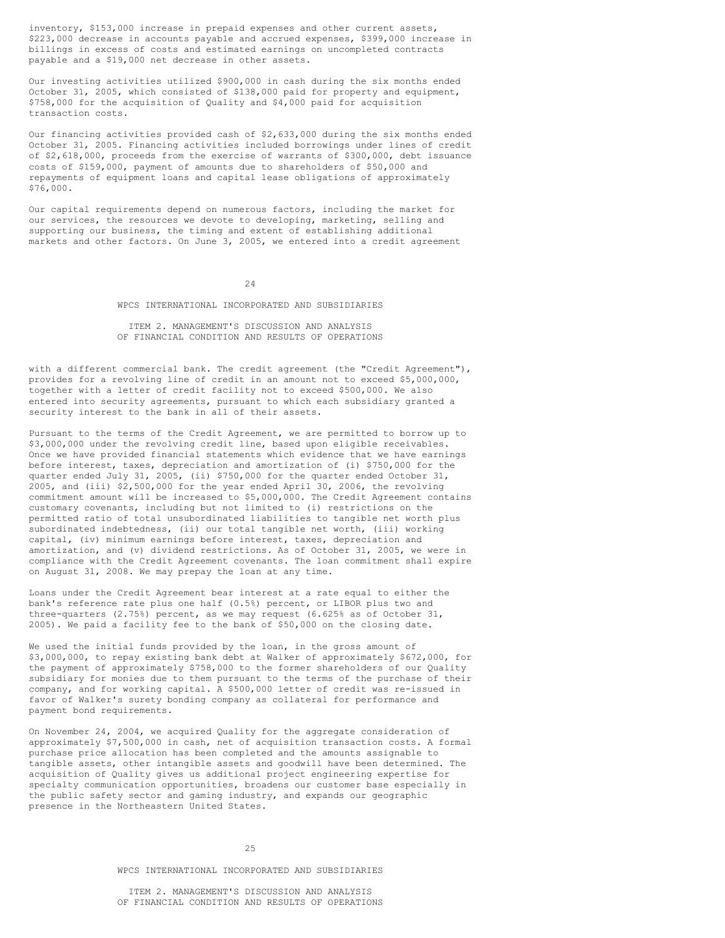inventory, \$153,000 increase in prepaid expenses and other current assets, \$223,000 decrease in accounts payable and accrued expenses, \$399,000 increase in billings in excess of costs and estimated earnings on uncompleted contracts payable and a \$19,000 net decrease in other assets.

Our investing activities utilized \$900,000 in cash during the six months ended October 31, 2005, which consisted of \$138,000 paid for property and equipment, \$758,000 for the acquisition of Quality and \$4,000 paid for acquisition transaction costs.

Our financing activities provided cash of \$2,633,000 during the six months ended October 31, 2005. Financing activities included borrowings under lines of credit of \$2,618,000, proceeds from the exercise of warrants of \$300,000, debt issuance costs of \$159,000, payment of amounts due to shareholders of \$50,000 and repayments of equipment loans and capital lease obligations of approximately \$76,000.

Our capital requirements depend on numerous factors, including the market for our services, the resources we devote to developing, marketing, selling and supporting our business, the timing and extent of establishing additional markets and other factors. On June 3, 2005, we entered into a credit agreement

24

#### WPCS INTERNATIONAL INCORPORATED AND SUBSIDIARIES

ITEM 2. MANAGEMENT'S DISCUSSION AND ANALYSIS OF FINANCIAL CONDITION AND RESULTS OF OPERATIONS

with a different commercial bank. The credit agreement (the "Credit Agreement"), provides for a revolving line of credit in an amount not to exceed \$5,000,000, together with a letter of credit facility not to exceed \$500,000. We also entered into security agreements, pursuant to which each subsidiary granted a security interest to the bank in all of their assets.

Pursuant to the terms of the Credit Agreement, we are permitted to borrow up to \$3,000,000 under the revolving credit line, based upon eligible receivables. Once we have provided financial statements which evidence that we have earnings before interest, taxes, depreciation and amortization of (i) \$750,000 for the quarter ended July 31, 2005, (ii) \$750,000 for the quarter ended October 31, 2005, and (iii) \$2,500,000 for the year ended April 30, 2006, the revolving commitment amount will be increased to \$5,000,000. The Credit Agreement contains customary covenants, including but not limited to (i) restrictions on the permitted ratio of total unsubordinated liabilities to tangible net worth plus subordinated indebtedness, (ii) our total tangible net worth, (iii) working capital, (iv) minimum earnings before interest, taxes, depreciation and amortization, and (v) dividend restrictions. As of October 31, 2005, we were in compliance with the Credit Agreement covenants. The loan commitment shall expire on August 31, 2008. We may prepay the loan at any time.

Loans under the Credit Agreement bear interest at a rate equal to either the bank's reference rate plus one half (0.5%) percent, or LIBOR plus two and three-quarters (2.75%) percent, as we may request (6.625% as of October 31, 2005). We paid a facility fee to the bank of \$50,000 on the closing date.

We used the initial funds provided by the loan, in the gross amount of \$3,000,000, to repay existing bank debt at Walker of approximately \$672,000, for the payment of approximately \$758,000 to the former shareholders of our Quality subsidiary for monies due to them pursuant to the terms of the purchase of their company, and for working capital. A \$500,000 letter of credit was re-issued in favor of Walker's surety bonding company as collateral for performance and payment bond requirements.

On November 24, 2004, we acquired Quality for the aggregate consideration of approximately \$7,500,000 in cash, net of acquisition transaction costs. A formal purchase price allocation has been completed and the amounts assignable to tangible assets, other intangible assets and goodwill have been determined. The acquisition of Quality gives us additional project engineering expertise for specialty communication opportunities, broadens our customer base especially in the public safety sector and gaming industry, and expands our geographic presence in the Northeastern United States.

25

### WPCS INTERNATIONAL INCORPORATED AND SUBSIDIARIES

ITEM 2. MANAGEMENT'S DISCUSSION AND ANALYSIS OF FINANCIAL CONDITION AND RESULTS OF OPERATIONS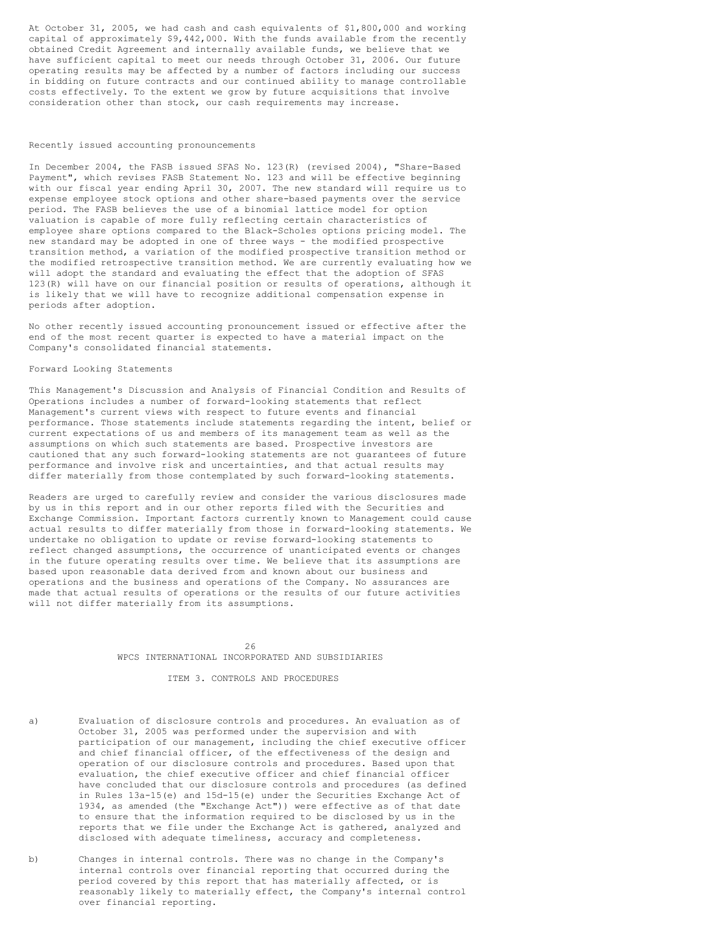At October 31, 2005, we had cash and cash equivalents of \$1,800,000 and working capital of approximately \$9,442,000. With the funds available from the recently obtained Credit Agreement and internally available funds, we believe that we have sufficient capital to meet our needs through October 31, 2006. Our future operating results may be affected by a number of factors including our success in bidding on future contracts and our continued ability to manage controllable costs effectively. To the extent we grow by future acquisitions that involve consideration other than stock, our cash requirements may increase.

#### Recently issued accounting pronouncements

In December 2004, the FASB issued SFAS No. 123(R) (revised 2004), "Share-Based Payment", which revises FASB Statement No. 123 and will be effective beginning with our fiscal year ending April 30, 2007. The new standard will require us to expense employee stock options and other share-based payments over the service period. The FASB believes the use of a binomial lattice model for option valuation is capable of more fully reflecting certain characteristics of employee share options compared to the Black-Scholes options pricing model. The new standard may be adopted in one of three ways - the modified prospective transition method, a variation of the modified prospective transition method or the modified retrospective transition method. We are currently evaluating how we will adopt the standard and evaluating the effect that the adoption of SFAS 123(R) will have on our financial position or results of operations, although it is likely that we will have to recognize additional compensation expense in periods after adoption.

No other recently issued accounting pronouncement issued or effective after the end of the most recent quarter is expected to have a material impact on the Company's consolidated financial statements.

## Forward Looking Statements

This Management's Discussion and Analysis of Financial Condition and Results of Operations includes a number of forward-looking statements that reflect Management's current views with respect to future events and financial performance. Those statements include statements regarding the intent, belief or current expectations of us and members of its management team as well as the assumptions on which such statements are based. Prospective investors are cautioned that any such forward-looking statements are not guarantees of future performance and involve risk and uncertainties, and that actual results may differ materially from those contemplated by such forward-looking statements.

Readers are urged to carefully review and consider the various disclosures made by us in this report and in our other reports filed with the Securities and Exchange Commission. Important factors currently known to Management could cause actual results to differ materially from those in forward-looking statements. We undertake no obligation to update or revise forward-looking statements to reflect changed assumptions, the occurrence of unanticipated events or changes in the future operating results over time. We believe that its assumptions are based upon reasonable data derived from and known about our business and operations and the business and operations of the Company. No assurances are made that actual results of operations or the results of our future activities will not differ materially from its assumptions.

> 26 WPCS INTERNATIONAL INCORPORATED AND SUBSIDIARIES

## ITEM 3. CONTROLS AND PROCEDURES

- a) Evaluation of disclosure controls and procedures. An evaluation as of October 31, 2005 was performed under the supervision and with participation of our management, including the chief executive officer and chief financial officer, of the effectiveness of the design and operation of our disclosure controls and procedures. Based upon that evaluation, the chief executive officer and chief financial officer have concluded that our disclosure controls and procedures (as defined in Rules 13a-15(e) and 15d-15(e) under the Securities Exchange Act of 1934, as amended (the "Exchange Act")) were effective as of that date to ensure that the information required to be disclosed by us in the reports that we file under the Exchange Act is gathered, analyzed and disclosed with adequate timeliness, accuracy and completeness.
- b) Changes in internal controls. There was no change in the Company's internal controls over financial reporting that occurred during the period covered by this report that has materially affected, or is reasonably likely to materially effect, the Company's internal control over financial reporting.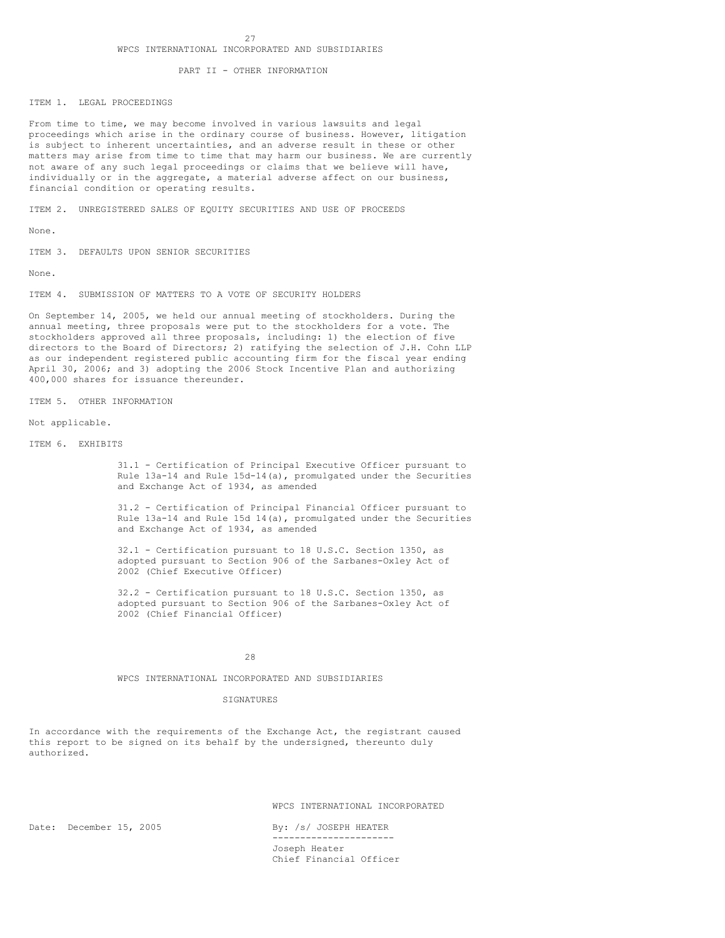#### WPCS INTERNATIONAL INCORPORATED AND SUBSIDIARIES

### PART II - OTHER INFORMATION

ITEM 1. LEGAL PROCEEDINGS

From time to time, we may become involved in various lawsuits and legal proceedings which arise in the ordinary course of business. However, litigation is subject to inherent uncertainties, and an adverse result in these or other matters may arise from time to time that may harm our business. We are currently not aware of any such legal proceedings or claims that we believe will have, individually or in the aggregate, a material adverse affect on our business, financial condition or operating results.

ITEM 2. UNREGISTERED SALES OF EQUITY SECURITIES AND USE OF PROCEEDS

None.

ITEM 3. DEFAULTS UPON SENIOR SECURITIES

None.

ITEM 4. SUBMISSION OF MATTERS TO A VOTE OF SECURITY HOLDERS

On September 14, 2005, we held our annual meeting of stockholders. During the annual meeting, three proposals were put to the stockholders for a vote. The stockholders approved all three proposals, including: 1) the election of five directors to the Board of Directors; 2) ratifying the selection of J.H. Cohn LLP as our independent registered public accounting firm for the fiscal year ending April 30, 2006; and 3) adopting the 2006 Stock Incentive Plan and authorizing 400,000 shares for issuance thereunder.

ITEM 5. OTHER INFORMATION

Not applicable.

ITEM 6. EXHIBITS

31.1 - Certification of Principal Executive Officer pursuant to Rule 13a-14 and Rule 15d-14(a), promulgated under the Securities and Exchange Act of 1934, as amended

31.2 - Certification of Principal Financial Officer pursuant to Rule 13a-14 and Rule 15d 14(a), promulgated under the Securities and Exchange Act of 1934, as amended

32.1 - Certification pursuant to 18 U.S.C. Section 1350, as adopted pursuant to Section 906 of the Sarbanes-Oxley Act of 2002 (Chief Executive Officer)

32.2 - Certification pursuant to 18 U.S.C. Section 1350, as adopted pursuant to Section 906 of the Sarbanes-Oxley Act of 2002 (Chief Financial Officer)

28

WPCS INTERNATIONAL INCORPORATED AND SUBSIDIARIES

### SIGNATURES

In accordance with the requirements of the Exchange Act, the registrant caused this report to be signed on its behalf by the undersigned, thereunto duly authorized.

WPCS INTERNATIONAL INCORPORATED

Date: December 15, 2005 By: /s/ JOSEPH HEATER

---------------------- Joseph Heater Chief Financial Officer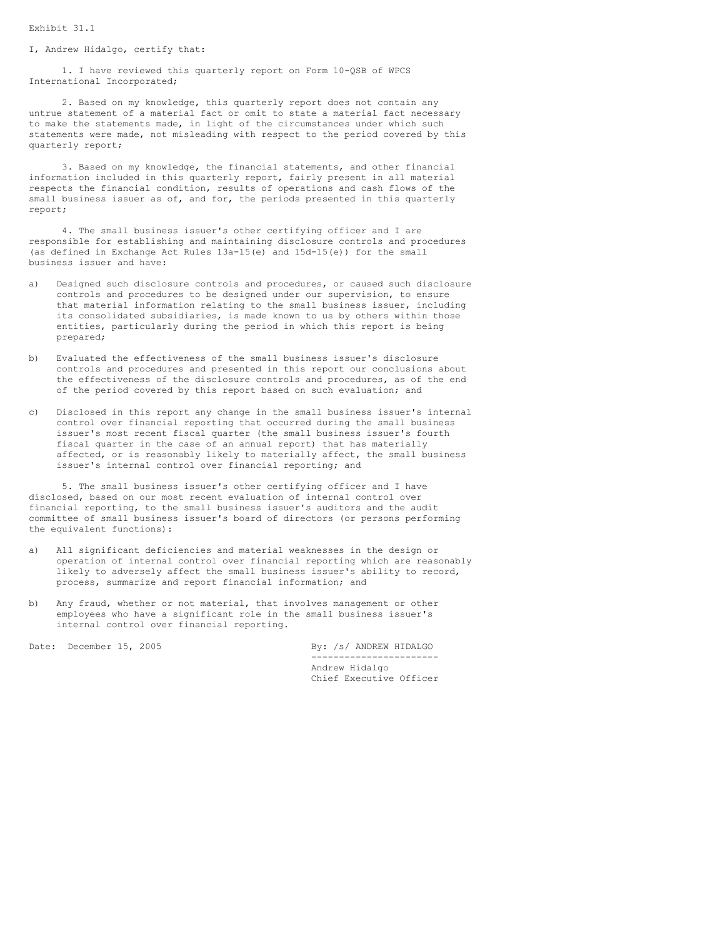Exhibit 31.1

### I, Andrew Hidalgo, certify that:

1. I have reviewed this quarterly report on Form 10-QSB of WPCS International Incorporated;

2. Based on my knowledge, this quarterly report does not contain any untrue statement of a material fact or omit to state a material fact necessary to make the statements made, in light of the circumstances under which such statements were made, not misleading with respect to the period covered by this quarterly report;

3. Based on my knowledge, the financial statements, and other financial information included in this quarterly report, fairly present in all material respects the financial condition, results of operations and cash flows of the small business issuer as of, and for, the periods presented in this quarterly report;

4. The small business issuer's other certifying officer and I are responsible for establishing and maintaining disclosure controls and procedures (as defined in Exchange Act Rules 13a-15(e) and 15d-15(e)) for the small business issuer and have:

- a) Designed such disclosure controls and procedures, or caused such disclosure controls and procedures to be designed under our supervision, to ensure that material information relating to the small business issuer, including its consolidated subsidiaries, is made known to us by others within those entities, particularly during the period in which this report is being prepared;
- b) Evaluated the effectiveness of the small business issuer's disclosure controls and procedures and presented in this report our conclusions about the effectiveness of the disclosure controls and procedures, as of the end of the period covered by this report based on such evaluation; and
- c) Disclosed in this report any change in the small business issuer's internal control over financial reporting that occurred during the small business issuer's most recent fiscal quarter (the small business issuer's fourth fiscal quarter in the case of an annual report) that has materially affected, or is reasonably likely to materially affect, the small business issuer's internal control over financial reporting; and

5. The small business issuer's other certifying officer and I have disclosed, based on our most recent evaluation of internal control over financial reporting, to the small business issuer's auditors and the audit committee of small business issuer's board of directors (or persons performing the equivalent functions):

- a) All significant deficiencies and material weaknesses in the design or operation of internal control over financial reporting which are reasonably likely to adversely affect the small business issuer's ability to record, process, summarize and report financial information; and
- b) Any fraud, whether or not material, that involves management or other employees who have a significant role in the small business issuer's internal control over financial reporting.

Date: December 15, 2005 By: /s/ ANDREW HIDALGO ----------------------- Andrew Hidalgo Chief Executive Officer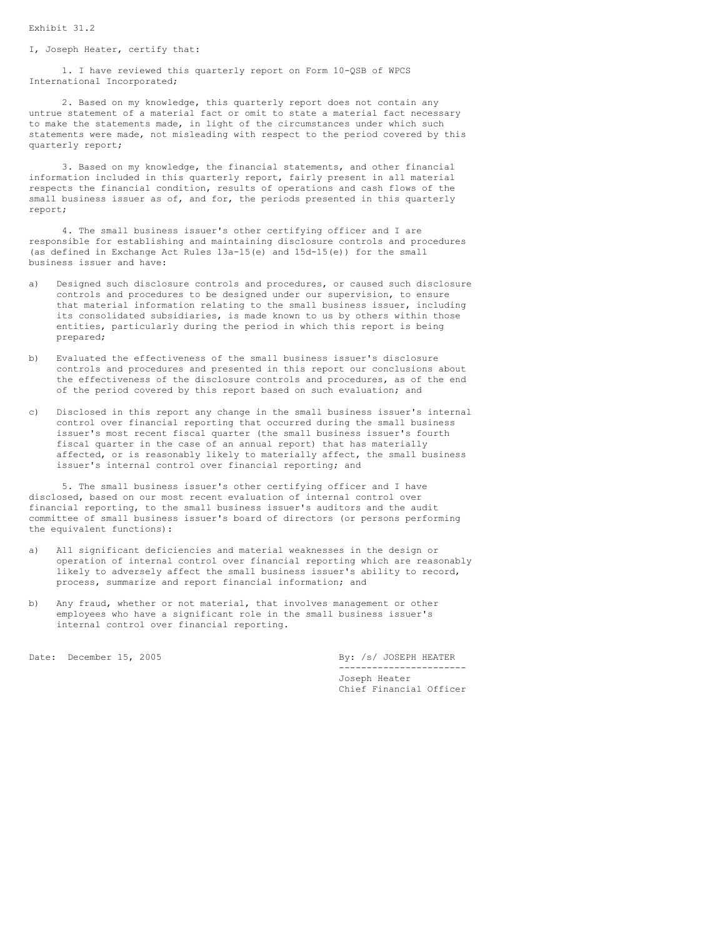Exhibit 31.2

### I, Joseph Heater, certify that:

1. I have reviewed this quarterly report on Form 10-QSB of WPCS International Incorporated;

2. Based on my knowledge, this quarterly report does not contain any untrue statement of a material fact or omit to state a material fact necessary to make the statements made, in light of the circumstances under which such statements were made, not misleading with respect to the period covered by this quarterly report;

3. Based on my knowledge, the financial statements, and other financial information included in this quarterly report, fairly present in all material respects the financial condition, results of operations and cash flows of the small business issuer as of, and for, the periods presented in this quarterly report;

4. The small business issuer's other certifying officer and I are responsible for establishing and maintaining disclosure controls and procedures (as defined in Exchange Act Rules 13a-15(e) and 15d-15(e)) for the small business issuer and have:

- a) Designed such disclosure controls and procedures, or caused such disclosure controls and procedures to be designed under our supervision, to ensure that material information relating to the small business issuer, including its consolidated subsidiaries, is made known to us by others within those entities, particularly during the period in which this report is being prepared;
- b) Evaluated the effectiveness of the small business issuer's disclosure controls and procedures and presented in this report our conclusions about the effectiveness of the disclosure controls and procedures, as of the end of the period covered by this report based on such evaluation; and
- c) Disclosed in this report any change in the small business issuer's internal control over financial reporting that occurred during the small business issuer's most recent fiscal quarter (the small business issuer's fourth fiscal quarter in the case of an annual report) that has materially affected, or is reasonably likely to materially affect, the small business issuer's internal control over financial reporting; and

5. The small business issuer's other certifying officer and I have disclosed, based on our most recent evaluation of internal control over financial reporting, to the small business issuer's auditors and the audit committee of small business issuer's board of directors (or persons performing the equivalent functions):

- a) All significant deficiencies and material weaknesses in the design or operation of internal control over financial reporting which are reasonably likely to adversely affect the small business issuer's ability to record, process, summarize and report financial information; and
- b) Any fraud, whether or not material, that involves management or other employees who have a significant role in the small business issuer's internal control over financial reporting.

Date: December 15, 2005 By: /s/ JOSEPH HEATER

----------------------- Joseph Heater Chief Financial Officer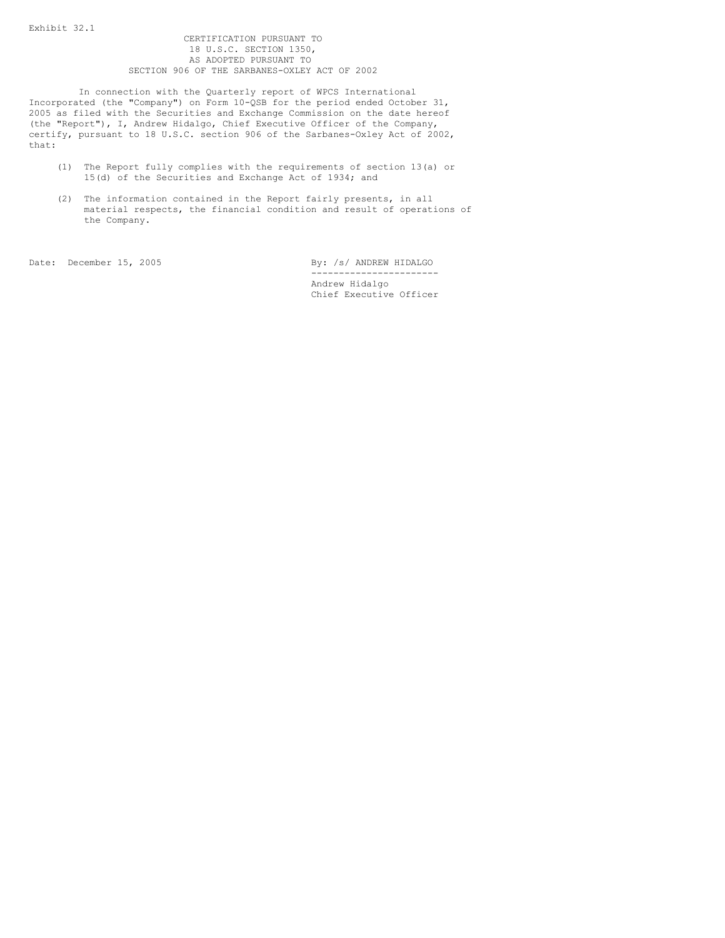## CERTIFICATION PURSUANT TO 18 U.S.C. SECTION 1350, AS ADOPTED PURSUANT TO SECTION 906 OF THE SARBANES-OXLEY ACT OF 2002

In connection with the Quarterly report of WPCS International Incorporated (the "Company") on Form 10-QSB for the period ended October 31, 2005 as filed with the Securities and Exchange Commission on the date hereof (the "Report"), I, Andrew Hidalgo, Chief Executive Officer of the Company, certify, pursuant to 18 U.S.C. section 906 of the Sarbanes-Oxley Act of 2002, that:

- (1) The Report fully complies with the requirements of section 13(a) or 15(d) of the Securities and Exchange Act of 1934; and
- (2) The information contained in the Report fairly presents, in all material respects, the financial condition and result of operations of the Company.

Date: December 15, 2005 By: /s/ ANDREW HIDALGO ----------------------- Andrew Hidalgo Chief Executive Officer